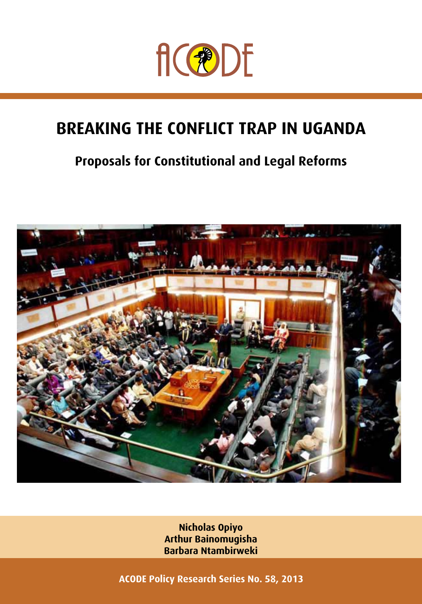

## **breaking the conflict trap in uganda**

## **Proposals for Constitutional and Legal Reforms**



**Nicholas Opiyo Arthur Bainomugisha Barbara Ntambirweki**

**ACODE Policy Research Series No. 58, 2013**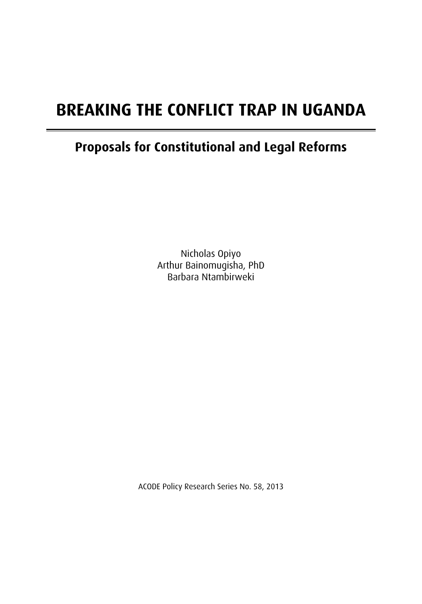## **breaking the conflict trap in uganda**

## **Proposals for Constitutional and Legal Reforms**

Nicholas Opiyo Arthur Bainomugisha, PhD Barbara Ntambirweki

ACODE Policy Research Series No. 58, 2013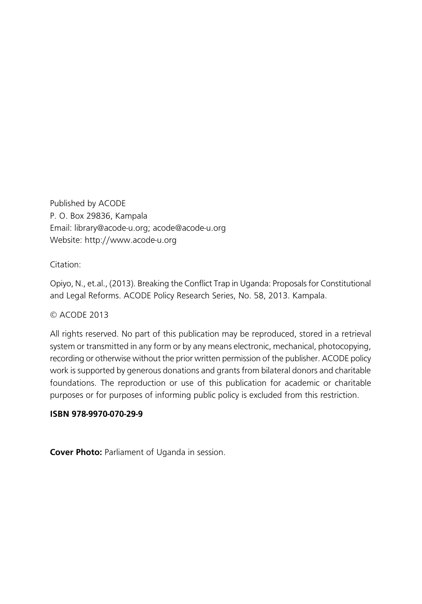Published by ACODE P. O. Box 29836, Kampala Email: library@acode-u.org; acode@acode-u.org Website: http://www.acode-u.org

Citation:

Opiyo, N., et.al., (2013). Breaking the Conflict Trap in Uganda: Proposals for Constitutional and Legal Reforms. ACODE Policy Research Series, No. 58, 2013. Kampala.

#### © ACODE 2013

All rights reserved. No part of this publication may be reproduced, stored in a retrieval system or transmitted in any form or by any means electronic, mechanical, photocopying, recording or otherwise without the prior written permission of the publisher. ACODE policy work is supported by generous donations and grants from bilateral donors and charitable foundations. The reproduction or use of this publication for academic or charitable purposes or for purposes of informing public policy is excluded from this restriction.

#### **ISBN 978-9970-070-29-9**

**Cover Photo:** Parliament of Uganda in session.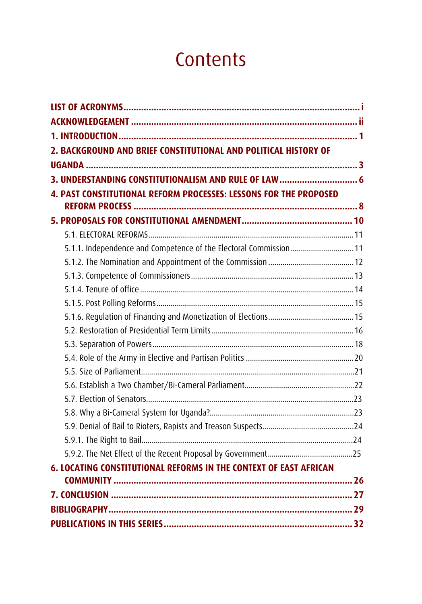## **Contents**

| 2. BACKGROUND AND BRIEF CONSTITUTIONAL AND POLITICAL HISTORY OF   |  |
|-------------------------------------------------------------------|--|
|                                                                   |  |
|                                                                   |  |
| 4. PAST CONSTITUTIONAL REFORM PROCESSES: LESSONS FOR THE PROPOSED |  |
|                                                                   |  |
|                                                                   |  |
|                                                                   |  |
| 5.1.1. Independence and Competence of the Electoral Commission 11 |  |
|                                                                   |  |
|                                                                   |  |
|                                                                   |  |
|                                                                   |  |
|                                                                   |  |
|                                                                   |  |
|                                                                   |  |
|                                                                   |  |
|                                                                   |  |
|                                                                   |  |
|                                                                   |  |
|                                                                   |  |
|                                                                   |  |
|                                                                   |  |
|                                                                   |  |
| 6. LOCATING CONSTITUTIONAL REFORMS IN THE CONTEXT OF EAST AFRICAN |  |
|                                                                   |  |
|                                                                   |  |
|                                                                   |  |
|                                                                   |  |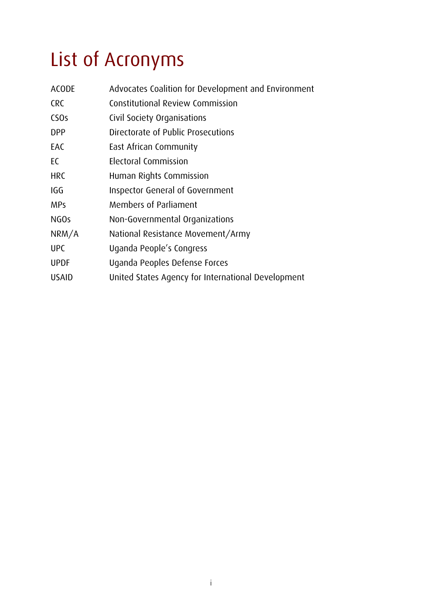# List of Acronyms

| <b>ACODE</b>     | Advocates Coalition for Development and Environment |  |  |  |  |
|------------------|-----------------------------------------------------|--|--|--|--|
| <b>CRC</b>       | Constitutional Review Commission                    |  |  |  |  |
| CS <sub>Os</sub> | Civil Society Organisations                         |  |  |  |  |
| <b>DPP</b>       | Directorate of Public Prosecutions                  |  |  |  |  |
| EAC              | East African Community                              |  |  |  |  |
| EC               | Electoral Commission                                |  |  |  |  |
| <b>HRC</b>       | Human Rights Commission                             |  |  |  |  |
| IGG              | Inspector General of Government                     |  |  |  |  |
| <b>MPs</b>       | <b>Members of Parliament</b>                        |  |  |  |  |
| NGO <sub>s</sub> | Non-Governmental Organizations                      |  |  |  |  |
| NRM/A            | National Resistance Movement/Army                   |  |  |  |  |
| <b>UPC</b>       | Uganda People's Congress                            |  |  |  |  |
| <b>UPDF</b>      | Uganda Peoples Defense Forces                       |  |  |  |  |
| <b>USAID</b>     | United States Agency for International Development  |  |  |  |  |
|                  |                                                     |  |  |  |  |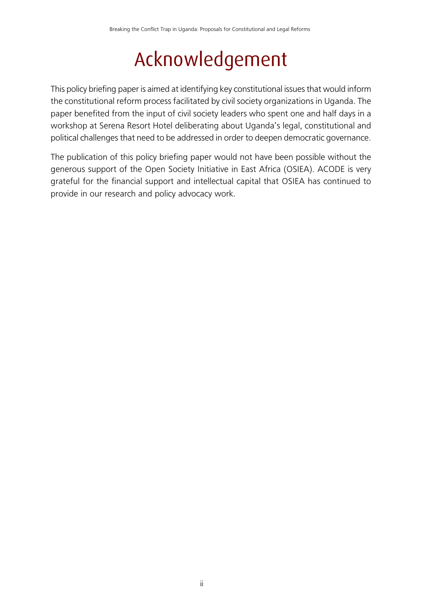## Acknowledgement

This policy briefing paper is aimed at identifying key constitutional issues that would inform the constitutional reform process facilitated by civil society organizations in Uganda. The paper benefited from the input of civil society leaders who spent one and half days in a workshop at Serena Resort Hotel deliberating about Uganda's legal, constitutional and political challenges that need to be addressed in order to deepen democratic governance.

The publication of this policy briefing paper would not have been possible without the generous support of the Open Society Initiative in East Africa (OSIEA). ACODE is very grateful for the financial support and intellectual capital that OSIEA has continued to provide in our research and policy advocacy work.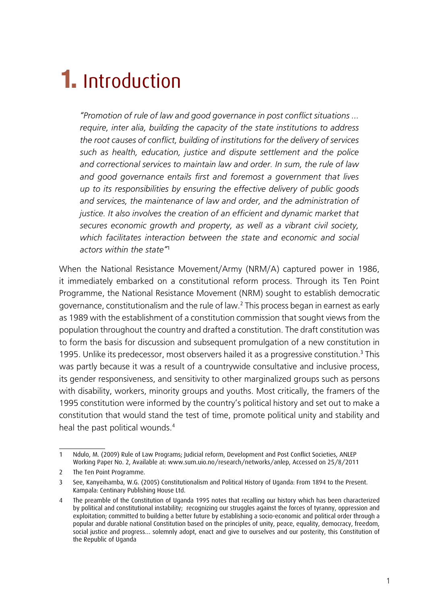# 1. Introduction

*"Promotion of rule of law and good governance in post conflict situations … require, inter alia, building the capacity of the state institutions to address the root causes of conflict, building of institutions for the delivery of services such as health, education, justice and dispute settlement and the police and correctional services to maintain law and order. In sum, the rule of law and good governance entails first and foremost a government that lives up to its responsibilities by ensuring the effective delivery of public goods and services, the maintenance of law and order, and the administration of justice. It also involves the creation of an efficient and dynamic market that secures economic growth and property, as well as a vibrant civil society, which facilitates interaction between the state and economic and social actors within the state"*<sup>1</sup>

When the National Resistance Movement/Army (NRM/A) captured power in 1986, it immediately embarked on a constitutional reform process. Through its Ten Point Programme, the National Resistance Movement (NRM) sought to establish democratic governance, constitutionalism and the rule of law.<sup>2</sup> This process began in earnest as early as 1989 with the establishment of a constitution commission that sought views from the population throughout the country and drafted a constitution. The draft constitution was to form the basis for discussion and subsequent promulgation of a new constitution in 1995. Unlike its predecessor, most observers hailed it as a progressive constitution.<sup>3</sup> This was partly because it was a result of a countrywide consultative and inclusive process, its gender responsiveness, and sensitivity to other marginalized groups such as persons with disability, workers, minority groups and youths. Most critically, the framers of the 1995 constitution were informed by the country's political history and set out to make a constitution that would stand the test of time, promote political unity and stability and heal the past political wounds.<sup>4</sup>

<sup>1</sup> Ndulo, M. (2009) Rule of Law Programs; Judicial reform, Development and Post Conflict Societies, ANLEP Working Paper No. 2, Available at: www.sum.uio.no/research/networks/anlep, Accessed on 25/8/2011

<sup>2</sup> The Ten Point Programme.

<sup>3</sup> See, Kanyeihamba, W.G. (2005) Constitutionalism and Political History of Uganda: From 1894 to the Present. Kampala: Centinary Publishing House Ltd.

<sup>4</sup> The preamble of the Constitution of Uganda 1995 notes that recalling our history which has been characterized by political and constitutional instability; recognizing our struggles against the forces of tyranny, oppression and exploitation; committed to building a better future by establishing a socio-economic and political order through a popular and durable national Constitution based on the principles of unity, peace, equality, democracy, freedom, social justice and progress… solemnly adopt, enact and give to ourselves and our posterity, this Constitution of the Republic of Uganda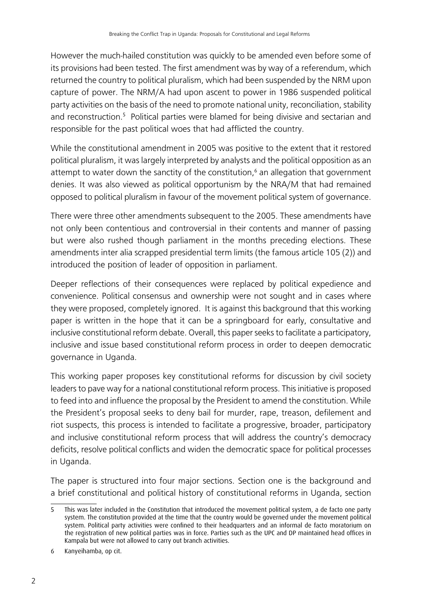However the much-hailed constitution was quickly to be amended even before some of its provisions had been tested. The first amendment was by way of a referendum, which returned the country to political pluralism, which had been suspended by the NRM upon capture of power. The NRM/A had upon ascent to power in 1986 suspended political party activities on the basis of the need to promote national unity, reconciliation, stability and reconstruction.<sup>5</sup> Political parties were blamed for being divisive and sectarian and responsible for the past political woes that had afflicted the country.

While the constitutional amendment in 2005 was positive to the extent that it restored political pluralism, it was largely interpreted by analysts and the political opposition as an attempt to water down the sanctity of the constitution,<sup>6</sup> an allegation that government denies. It was also viewed as political opportunism by the NRA/M that had remained opposed to political pluralism in favour of the movement political system of governance.

There were three other amendments subsequent to the 2005. These amendments have not only been contentious and controversial in their contents and manner of passing but were also rushed though parliament in the months preceding elections. These amendments inter alia scrapped presidential term limits (the famous article 105 (2)) and introduced the position of leader of opposition in parliament.

Deeper reflections of their consequences were replaced by political expedience and convenience. Political consensus and ownership were not sought and in cases where they were proposed, completely ignored. It is against this background that this working paper is written in the hope that it can be a springboard for early, consultative and inclusive constitutional reform debate. Overall, this paper seeks to facilitate a participatory, inclusive and issue based constitutional reform process in order to deepen democratic governance in Uganda.

This working paper proposes key constitutional reforms for discussion by civil society leaders to pave way for a national constitutional reform process. This initiative is proposed to feed into and influence the proposal by the President to amend the constitution. While the President's proposal seeks to deny bail for murder, rape, treason, defilement and riot suspects, this process is intended to facilitate a progressive, broader, participatory and inclusive constitutional reform process that will address the country's democracy deficits, resolve political conflicts and widen the democratic space for political processes in Uganda.

The paper is structured into four major sections. Section one is the background and a brief constitutional and political history of constitutional reforms in Uganda, section

<sup>5</sup> This was later included in the Constitution that introduced the movement political system, a de facto one party system. The constitution provided at the time that the country would be governed under the movement political system. Political party activities were confined to their headquarters and an informal de facto moratorium on the registration of new political parties was in force. Parties such as the UPC and DP maintained head offices in Kampala but were not allowed to carry out branch activities.

<sup>6</sup> Kanyeihamba, op cit.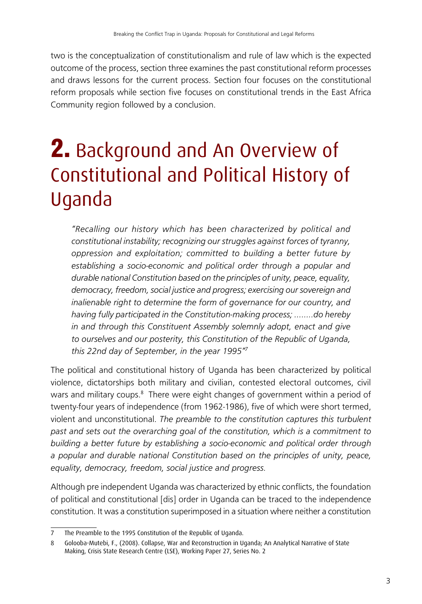two is the conceptualization of constitutionalism and rule of law which is the expected outcome of the process, section three examines the past constitutional reform processes and draws lessons for the current process. Section four focuses on the constitutional reform proposals while section five focuses on constitutional trends in the East Africa Community region followed by a conclusion.

# 2. Background and An Overview of Constitutional and Political History of Uganda

*"Recalling our history which has been characterized by political and constitutional instability; recognizing our struggles against forces of tyranny, oppression and exploitation; committed to building a better future by establishing a socio-economic and political order through a popular and durable national Constitution based on the principles of unity, peace, equality, democracy, freedom, social justice and progress; exercising our sovereign and inalienable right to determine the form of governance for our country, and having fully participated in the Constitution-making process; ……..do hereby in and through this Constituent Assembly solemnly adopt, enact and give to ourselves and our posterity, this Constitution of the Republic of Uganda, this 22nd day of September, in the year 1995"<sup>7</sup>*

The political and constitutional history of Uganda has been characterized by political violence, dictatorships both military and civilian, contested electoral outcomes, civil wars and military coups.<sup>8</sup> There were eight changes of government within a period of twenty-four years of independence (from 1962-1986), five of which were short termed, violent and unconstitutional. *The preamble to the constitution captures this turbulent past and sets out the overarching goal of the constitution, which is a commitment to building a better future by establishing a socio-economic and political order through a popular and durable national Constitution based on the principles of unity, peace, equality, democracy, freedom, social justice and progress.*

Although pre independent Uganda was characterized by ethnic conflicts, the foundation of political and constitutional [dis] order in Uganda can be traced to the independence constitution. It was a constitution superimposed in a situation where neither a constitution

<sup>7</sup> The Preamble to the 1995 Constitution of the Republic of Uganda.

<sup>8</sup> Golooba-Mutebi, F., (2008). Collapse, War and Reconstruction in Uganda; An Analytical Narrative of State Making, Crisis State Research Centre (LSE), Working Paper 27, Series No. 2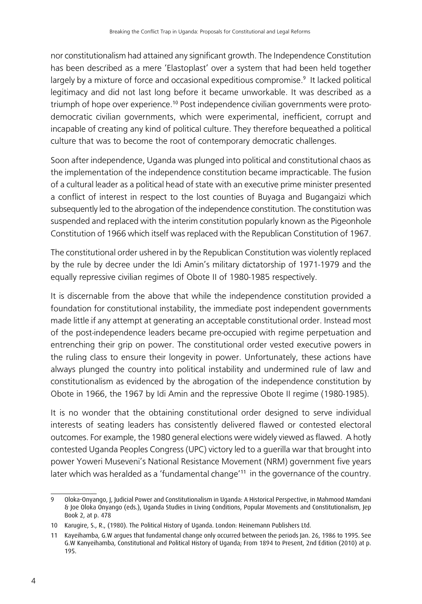nor constitutionalism had attained any significant growth. The Independence Constitution has been described as a mere 'Elastoplast' over a system that had been held together largely by a mixture of force and occasional expeditious compromise.<sup>9</sup> It lacked political legitimacy and did not last long before it became unworkable. It was described as a triumph of hope over experience.<sup>10</sup> Post independence civilian governments were protodemocratic civilian governments, which were experimental, inefficient, corrupt and incapable of creating any kind of political culture. They therefore bequeathed a political culture that was to become the root of contemporary democratic challenges.

Soon after independence, Uganda was plunged into political and constitutional chaos as the implementation of the independence constitution became impracticable. The fusion of a cultural leader as a political head of state with an executive prime minister presented a conflict of interest in respect to the lost counties of Buyaga and Bugangaizi which subsequently led to the abrogation of the independence constitution. The constitution was suspended and replaced with the interim constitution popularly known as the Pigeonhole Constitution of 1966 which itself was replaced with the Republican Constitution of 1967.

The constitutional order ushered in by the Republican Constitution was violently replaced by the rule by decree under the Idi Amin's military dictatorship of 1971-1979 and the equally repressive civilian regimes of Obote II of 1980-1985 respectively.

It is discernable from the above that while the independence constitution provided a foundation for constitutional instability, the immediate post independent governments made little if any attempt at generating an acceptable constitutional order. Instead most of the post-independence leaders became pre-occupied with regime perpetuation and entrenching their grip on power. The constitutional order vested executive powers in the ruling class to ensure their longevity in power. Unfortunately, these actions have always plunged the country into political instability and undermined rule of law and constitutionalism as evidenced by the abrogation of the independence constitution by Obote in 1966, the 1967 by Idi Amin and the repressive Obote II regime (1980-1985).

It is no wonder that the obtaining constitutional order designed to serve individual interests of seating leaders has consistently delivered flawed or contested electoral outcomes. For example, the 1980 general elections were widely viewed as flawed. A hotly contested Uganda Peoples Congress (UPC) victory led to a guerilla war that brought into power Yoweri Museveni's National Resistance Movement (NRM) government five years later which was heralded as a 'fundamental change'<sup>11</sup> in the governance of the country.

<sup>9</sup> Oloka-Onyango, J, Judicial Power and Constitutionalism in Uganda: A Historical Perspective, in Mahmood Mamdani & Joe Oloka Onyango (eds.), Uganda Studies in Living Conditions, Popular Movements and Constitutionalism, Jep Book 2, at p. 478

<sup>10</sup> Karugire, S., R., (1980). The Political History of Uganda. London: Heinemann Publishers Ltd.

<sup>11</sup> Kayeihamba, G.W argues that fundamental change only occurred between the periods Jan. 26, 1986 to 1995. See G.W Kanyeihamba, Constitutional and Political History of Uganda; From 1894 to Present, 2nd Edition (2010) at p. 195.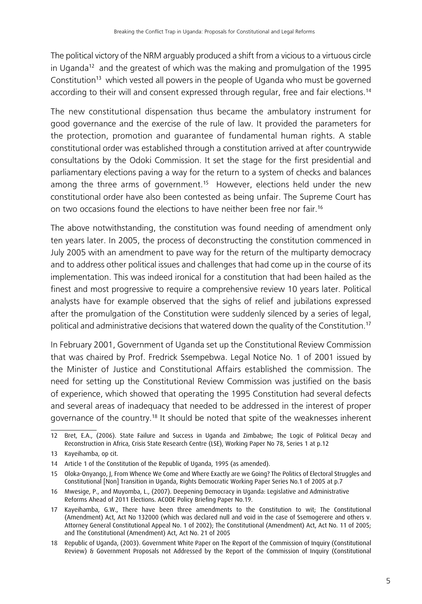The political victory of the NRM arguably produced a shift from a vicious to a virtuous circle in Uganda<sup>12</sup> and the greatest of which was the making and promulgation of the 1995 Constitution<sup>13</sup> which vested all powers in the people of Uganda who must be governed according to their will and consent expressed through regular, free and fair elections.<sup>14</sup>

The new constitutional dispensation thus became the ambulatory instrument for good governance and the exercise of the rule of law. It provided the parameters for the protection, promotion and guarantee of fundamental human rights. A stable constitutional order was established through a constitution arrived at after countrywide consultations by the Odoki Commission. It set the stage for the first presidential and parliamentary elections paving a way for the return to a system of checks and balances among the three arms of government.<sup>15</sup> However, elections held under the new constitutional order have also been contested as being unfair. The Supreme Court has on two occasions found the elections to have neither been free nor fair.<sup>16</sup>

The above notwithstanding, the constitution was found needing of amendment only ten years later. In 2005, the process of deconstructing the constitution commenced in July 2005 with an amendment to pave way for the return of the multiparty democracy and to address other political issues and challenges that had come up in the course of its implementation. This was indeed ironical for a constitution that had been hailed as the finest and most progressive to require a comprehensive review 10 years later. Political analysts have for example observed that the sighs of relief and jubilations expressed after the promulgation of the Constitution were suddenly silenced by a series of legal, political and administrative decisions that watered down the quality of the Constitution.<sup>17</sup>

In February 2001, Government of Uganda set up the Constitutional Review Commission that was chaired by Prof. Fredrick Ssempebwa. Legal Notice No. 1 of 2001 issued by the Minister of Justice and Constitutional Affairs established the commission. The need for setting up the Constitutional Review Commission was justified on the basis of experience, which showed that operating the 1995 Constitution had several defects and several areas of inadequacy that needed to be addressed in the interest of proper governance of the country.<sup>18</sup> It should be noted that spite of the weaknesses inherent

<sup>12</sup> Bret, E.A., (2006). State Failure and Success in Uganda and Zimbabwe; The Logic of Political Decay and Reconstruction in Africa, Crisis State Research Centre (LSE), Working Paper No 78, Series 1 at p.12

<sup>13</sup> Kayeihamba, op cit.

<sup>14</sup> Article 1 of the Constitution of the Republic of Uganda, 1995 (as amended).

<sup>15</sup> Oloka-Onyango, J, From Whence We Come and Where Exactly are we Going? The Politics of Electoral Struggles and Constitutional [Non] Transition in Uganda, Rights Democratic Working Paper Series No.1 of 2005 at p.7

<sup>16</sup> Mwesige, P., and Muyomba, L., (2007). Deepening Democracy in Uganda: Legislative and Administrative Reforms Ahead of 2011 Elections. ACODE Policy Briefing Paper No.19.

<sup>17</sup> Kayeihamba, G.W., There have been three amendments to the Constitution to wit; The Constitutional (Amendment) Act, Act No 132000 (which was declared null and void in the case of Ssemogerere and others v. Attorney General Constitutional Appeal No. 1 of 2002); The Constitutional (Amendment) Act, Act No. 11 of 2005; and The Constitutional (Amendment) Act, Act No. 21 of 2005

<sup>18</sup> Republic of Uganda, (2003). Government White Paper on The Report of the Commission of Inquiry (Constitutional Review) & Government Proposals not Addressed by the Report of the Commission of Inquiry (Constitutional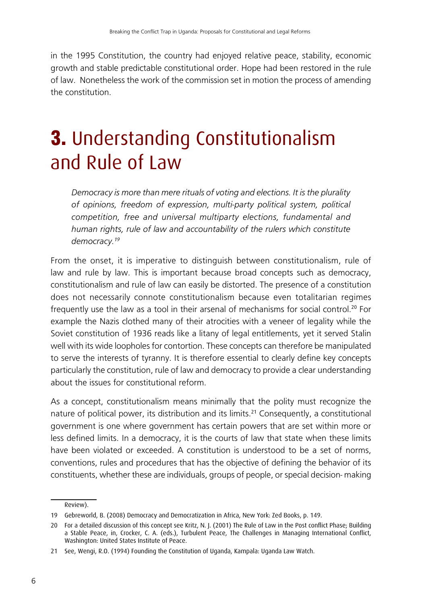in the 1995 Constitution, the country had enjoyed relative peace, stability, economic growth and stable predictable constitutional order. Hope had been restored in the rule of law. Nonetheless the work of the commission set in motion the process of amending the constitution.

## 3. Understanding Constitutionalism and Rule of Law

*Democracy is more than mere rituals of voting and elections. It is the plurality of opinions, freedom of expression, multi-party political system, political competition, free and universal multiparty elections, fundamental and human rights, rule of law and accountability of the rulers which constitute democracy.<sup>19</sup>*

From the onset, it is imperative to distinguish between constitutionalism, rule of law and rule by law. This is important because broad concepts such as democracy, constitutionalism and rule of law can easily be distorted. The presence of a constitution does not necessarily connote constitutionalism because even totalitarian regimes frequently use the law as a tool in their arsenal of mechanisms for social control.<sup>20</sup> For example the Nazis clothed many of their atrocities with a veneer of legality while the Soviet constitution of 1936 reads like a litany of legal entitlements, yet it served Stalin well with its wide loopholes for contortion. These concepts can therefore be manipulated to serve the interests of tyranny. It is therefore essential to clearly define key concepts particularly the constitution, rule of law and democracy to provide a clear understanding about the issues for constitutional reform.

As a concept, constitutionalism means minimally that the polity must recognize the nature of political power, its distribution and its limits.<sup>21</sup> Consequently, a constitutional government is one where government has certain powers that are set within more or less defined limits. In a democracy, it is the courts of law that state when these limits have been violated or exceeded. A constitution is understood to be a set of norms, conventions, rules and procedures that has the objective of defining the behavior of its constituents, whether these are individuals, groups of people, or special decision- making

Review).

<sup>19</sup> Gebreworld, B. (2008) Democracy and Democratization in Africa, New York: Zed Books, p. 149.

<sup>20</sup> For a detailed discussion of this concept see Kritz, N. J. (2001) The Rule of Law in the Post conflict Phase; Building a Stable Peace, in, Crocker, C. A. (eds.), Turbulent Peace, The Challenges in Managing International Conflict, Washington: United States Institute of Peace.

<sup>21</sup> See, Wengi, R.O. (1994) Founding the Constitution of Uganda, Kampala: Uganda Law Watch.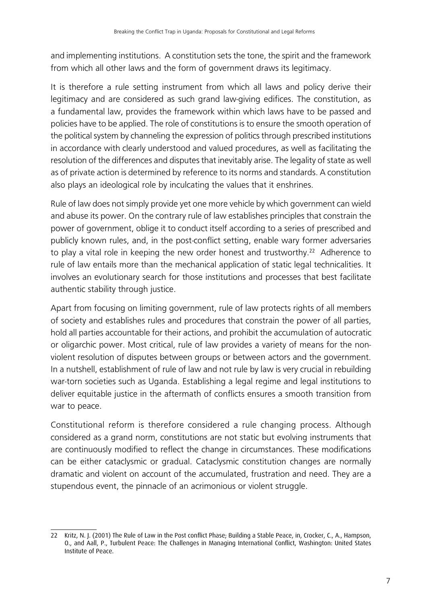and implementing institutions. A constitution sets the tone, the spirit and the framework from which all other laws and the form of government draws its legitimacy.

It is therefore a rule setting instrument from which all laws and policy derive their legitimacy and are considered as such grand law-giving edifices. The constitution, as a fundamental law, provides the framework within which laws have to be passed and policies have to be applied. The role of constitutions is to ensure the smooth operation of the political system by channeling the expression of politics through prescribed institutions in accordance with clearly understood and valued procedures, as well as facilitating the resolution of the differences and disputes that inevitably arise. The legality of state as well as of private action is determined by reference to its norms and standards. A constitution also plays an ideological role by inculcating the values that it enshrines.

Rule of law does not simply provide yet one more vehicle by which government can wield and abuse its power. On the contrary rule of law establishes principles that constrain the power of government, oblige it to conduct itself according to a series of prescribed and publicly known rules, and, in the post-conflict setting, enable wary former adversaries to play a vital role in keeping the new order honest and trustworthy.<sup>22</sup> Adherence to rule of law entails more than the mechanical application of static legal technicalities. It involves an evolutionary search for those institutions and processes that best facilitate authentic stability through justice.

Apart from focusing on limiting government, rule of law protects rights of all members of society and establishes rules and procedures that constrain the power of all parties, hold all parties accountable for their actions, and prohibit the accumulation of autocratic or oligarchic power. Most critical, rule of law provides a variety of means for the nonviolent resolution of disputes between groups or between actors and the government. In a nutshell, establishment of rule of law and not rule by law is very crucial in rebuilding war-torn societies such as Uganda. Establishing a legal regime and legal institutions to deliver equitable justice in the aftermath of conflicts ensures a smooth transition from war to peace.

Constitutional reform is therefore considered a rule changing process. Although considered as a grand norm, constitutions are not static but evolving instruments that are continuously modified to reflect the change in circumstances. These modifications can be either cataclysmic or gradual. Cataclysmic constitution changes are normally dramatic and violent on account of the accumulated, frustration and need. They are a stupendous event, the pinnacle of an acrimonious or violent struggle.

<sup>22</sup> Kritz, N. J. (2001) The Rule of Law in the Post conflict Phase; Building a Stable Peace, in, Crocker, C., A., Hampson, O., and Aall, P., Turbulent Peace: The Challenges in Managing International Conflict, Washington: United States Institute of Peace.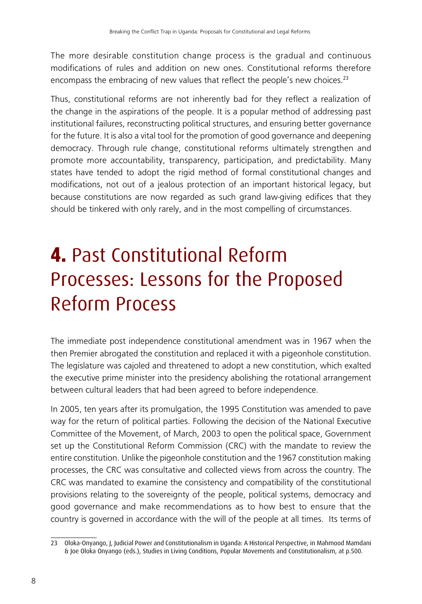The more desirable constitution change process is the gradual and continuous modifications of rules and addition on new ones. Constitutional reforms therefore encompass the embracing of new values that reflect the people's new choices.<sup>23</sup>

Thus, constitutional reforms are not inherently bad for they reflect a realization of the change in the aspirations of the people. It is a popular method of addressing past institutional failures, reconstructing political structures, and ensuring better governance for the future. It is also a vital tool for the promotion of good governance and deepening democracy. Through rule change, constitutional reforms ultimately strengthen and promote more accountability, transparency, participation, and predictability. Many states have tended to adopt the rigid method of formal constitutional changes and modifications, not out of a jealous protection of an important historical legacy, but because constitutions are now regarded as such grand law-giving edifices that they should be tinkered with only rarely, and in the most compelling of circumstances.

## 4. Past Constitutional Reform Processes: Lessons for the Proposed Reform Process

The immediate post independence constitutional amendment was in 1967 when the then Premier abrogated the constitution and replaced it with a pigeonhole constitution. The legislature was cajoled and threatened to adopt a new constitution, which exalted the executive prime minister into the presidency abolishing the rotational arrangement between cultural leaders that had been agreed to before independence.

In 2005, ten years after its promulgation, the 1995 Constitution was amended to pave way for the return of political parties. Following the decision of the National Executive Committee of the Movement, of March, 2003 to open the political space, Government set up the Constitutional Reform Commission (CRC) with the mandate to review the entire constitution. Unlike the pigeonhole constitution and the 1967 constitution making processes, the CRC was consultative and collected views from across the country. The CRC was mandated to examine the consistency and compatibility of the constitutional provisions relating to the sovereignty of the people, political systems, democracy and good governance and make recommendations as to how best to ensure that the country is governed in accordance with the will of the people at all times. Its terms of

<sup>23</sup> Oloka-Onyango, J, Judicial Power and Constitutionalism in Uganda: A Historical Perspective, in Mahmood Mamdani & Joe Oloka Onyango (eds.), Studies in Living Conditions, Popular Movements and Constitutionalism, at p.500.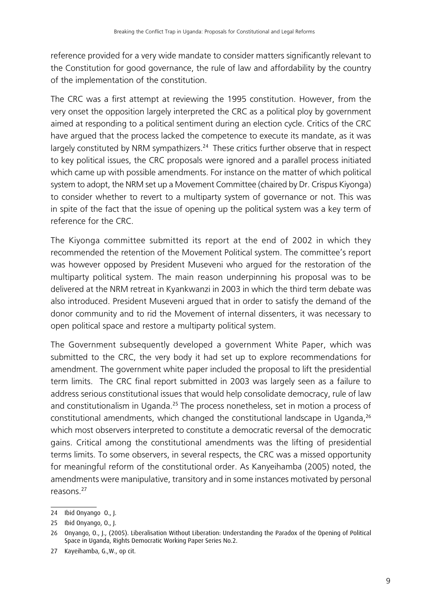reference provided for a very wide mandate to consider matters significantly relevant to the Constitution for good governance, the rule of law and affordability by the country of the implementation of the constitution.

The CRC was a first attempt at reviewing the 1995 constitution. However, from the very onset the opposition largely interpreted the CRC as a political ploy by government aimed at responding to a political sentiment during an election cycle. Critics of the CRC have argued that the process lacked the competence to execute its mandate, as it was largely constituted by NRM sympathizers.<sup>24</sup> These critics further observe that in respect to key political issues, the CRC proposals were ignored and a parallel process initiated which came up with possible amendments. For instance on the matter of which political system to adopt, the NRM set up a Movement Committee (chaired by Dr. Crispus Kiyonga) to consider whether to revert to a multiparty system of governance or not. This was in spite of the fact that the issue of opening up the political system was a key term of reference for the CRC.

The Kiyonga committee submitted its report at the end of 2002 in which they recommended the retention of the Movement Political system. The committee's report was however opposed by President Museveni who argued for the restoration of the multiparty political system. The main reason underpinning his proposal was to be delivered at the NRM retreat in Kyankwanzi in 2003 in which the third term debate was also introduced. President Museveni argued that in order to satisfy the demand of the donor community and to rid the Movement of internal dissenters, it was necessary to open political space and restore a multiparty political system.

The Government subsequently developed a government White Paper, which was submitted to the CRC, the very body it had set up to explore recommendations for amendment. The government white paper included the proposal to lift the presidential term limits. The CRC final report submitted in 2003 was largely seen as a failure to address serious constitutional issues that would help consolidate democracy, rule of law and constitutionalism in Uganda.<sup>25</sup> The process nonetheless, set in motion a process of constitutional amendments, which changed the constitutional landscape in Uganda, $^{26}$ which most observers interpreted to constitute a democratic reversal of the democratic gains. Critical among the constitutional amendments was the lifting of presidential terms limits. To some observers, in several respects, the CRC was a missed opportunity for meaningful reform of the constitutional order. As Kanyeihamba (2005) noted, the amendments were manipulative, transitory and in some instances motivated by personal reasons.<sup>27</sup>

<sup>24</sup> Ibid Onyango O., J.

<sup>25</sup> Ibid Onyango, O., J.

<sup>26</sup> Onyango, O., J., (2005). Liberalisation Without Liberation: Understanding the Paradox of the Opening of Political Space in Uganda, Rights Democratic Working Paper Series No.2.

<sup>27</sup> Kayeihamba, G.,W., op cit.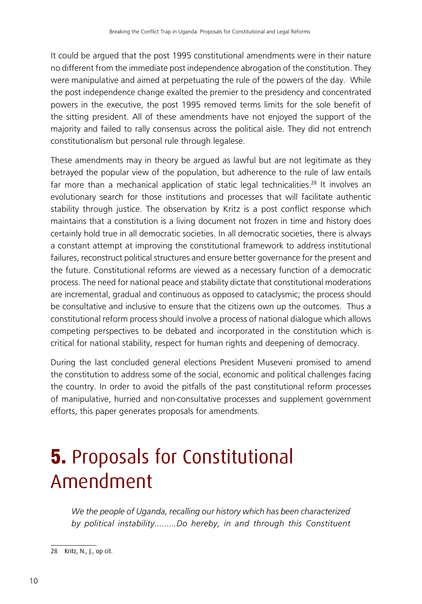It could be argued that the post 1995 constitutional amendments were in their nature no different from the immediate post independence abrogation of the constitution. They were manipulative and aimed at perpetuating the rule of the powers of the day. While the post independence change exalted the premier to the presidency and concentrated powers in the executive, the post 1995 removed terms limits for the sole benefit of the sitting president. All of these amendments have not enjoyed the support of the majority and failed to rally consensus across the political aisle. They did not entrench constitutionalism but personal rule through legalese.

These amendments may in theory be argued as lawful but are not legitimate as they betrayed the popular view of the population, but adherence to the rule of law entails far more than a mechanical application of static legal technicalities.<sup>28</sup> It involves an evolutionary search for those institutions and processes that will facilitate authentic stability through justice. The observation by Kritz is a post conflict response which maintains that a constitution is a living document not frozen in time and history does certainly hold true in all democratic societies. In all democratic societies, there is always a constant attempt at improving the constitutional framework to address institutional failures, reconstruct political structures and ensure better governance for the present and the future. Constitutional reforms are viewed as a necessary function of a democratic process. The need for national peace and stability dictate that constitutional moderations are incremental, gradual and continuous as opposed to cataclysmic; the process should be consultative and inclusive to ensure that the citizens own up the outcomes. Thus a constitutional reform process should involve a process of national dialogue which allows competing perspectives to be debated and incorporated in the constitution which is critical for national stability, respect for human rights and deepening of democracy.

During the last concluded general elections President Museveni promised to amend the constitution to address some of the social, economic and political challenges facing the country. In order to avoid the pitfalls of the past constitutional reform processes of manipulative, hurried and non-consultative processes and supplement government efforts, this paper generates proposals for amendments.

## **5.** Proposals for Constitutional Amendment

*We the people of Uganda, recalling our history which has been characterized by political instability………Do hereby, in and through this Constituent* 

<sup>28</sup> Kritz, N., J., op cit.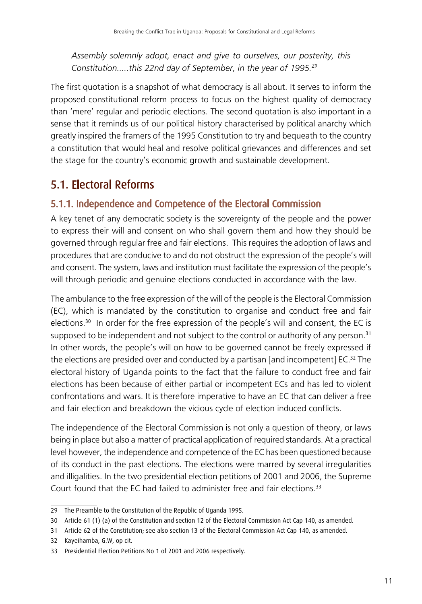*Assembly solemnly adopt, enact and give to ourselves, our posterity, this Constitution…..this 22nd day of September, in the year of 1995.<sup>29</sup>*

The first quotation is a snapshot of what democracy is all about. It serves to inform the proposed constitutional reform process to focus on the highest quality of democracy than 'mere' regular and periodic elections. The second quotation is also important in a sense that it reminds us of our political history characterised by political anarchy which greatly inspired the framers of the 1995 Constitution to try and bequeath to the country a constitution that would heal and resolve political grievances and differences and set the stage for the country's economic growth and sustainable development.

## 5.1. Electoral Reforms

### 5.1.1. Independence and Competence of the Electoral Commission

A key tenet of any democratic society is the sovereignty of the people and the power to express their will and consent on who shall govern them and how they should be governed through regular free and fair elections. This requires the adoption of laws and procedures that are conducive to and do not obstruct the expression of the people's will and consent. The system, laws and institution must facilitate the expression of the people's will through periodic and genuine elections conducted in accordance with the law.

The ambulance to the free expression of the will of the people is the Electoral Commission (EC), which is mandated by the constitution to organise and conduct free and fair elections.<sup>30</sup> In order for the free expression of the people's will and consent, the EC is supposed to be independent and not subject to the control or authority of any person. $31$ In other words, the people's will on how to be governed cannot be freely expressed if the elections are presided over and conducted by a partisan [and incompetent]  $EC^{32}$  The electoral history of Uganda points to the fact that the failure to conduct free and fair elections has been because of either partial or incompetent ECs and has led to violent confrontations and wars. It is therefore imperative to have an EC that can deliver a free and fair election and breakdown the vicious cycle of election induced conflicts.

The independence of the Electoral Commission is not only a question of theory, or laws being in place but also a matter of practical application of required standards. At a practical level however, the independence and competence of the EC has been questioned because of its conduct in the past elections. The elections were marred by several irregularities and illigalities. In the two presidential election petitions of 2001 and 2006, the Supreme Court found that the EC had failed to administer free and fair elections.<sup>33</sup>

32 Kayeihamba, G.W, op cit.

<sup>29</sup> The Preamble to the Constitution of the Republic of Uganda 1995.

<sup>30</sup> Article 61 (1) (a) of the Constitution and section 12 of the Electoral Commission Act Cap 140, as amended.

<sup>31</sup> Article 62 of the Constitution; see also section 13 of the Electoral Commission Act Cap 140, as amended.

<sup>33</sup> Presidential Election Petitions No 1 of 2001 and 2006 respectively.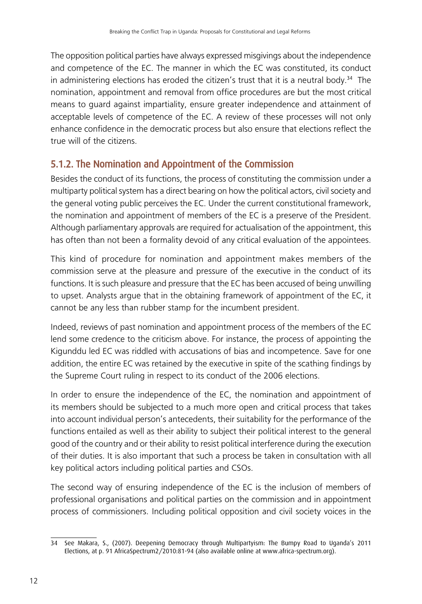The opposition political parties have always expressed misgivings about the independence and competence of the EC. The manner in which the EC was constituted, its conduct in administering elections has eroded the citizen's trust that it is a neutral body.<sup>34</sup> The nomination, appointment and removal from office procedures are but the most critical means to guard against impartiality, ensure greater independence and attainment of acceptable levels of competence of the EC. A review of these processes will not only enhance confidence in the democratic process but also ensure that elections reflect the true will of the citizens.

#### 5.1.2. The Nomination and Appointment of the Commission

Besides the conduct of its functions, the process of constituting the commission under a multiparty political system has a direct bearing on how the political actors, civil society and the general voting public perceives the EC. Under the current constitutional framework, the nomination and appointment of members of the EC is a preserve of the President. Although parliamentary approvals are required for actualisation of the appointment, this has often than not been a formality devoid of any critical evaluation of the appointees.

This kind of procedure for nomination and appointment makes members of the commission serve at the pleasure and pressure of the executive in the conduct of its functions. It is such pleasure and pressure that the EC has been accused of being unwilling to upset. Analysts argue that in the obtaining framework of appointment of the EC, it cannot be any less than rubber stamp for the incumbent president.

Indeed, reviews of past nomination and appointment process of the members of the EC lend some credence to the criticism above. For instance, the process of appointing the Kigunddu led EC was riddled with accusations of bias and incompetence. Save for one addition, the entire EC was retained by the executive in spite of the scathing findings by the Supreme Court ruling in respect to its conduct of the 2006 elections.

In order to ensure the independence of the EC, the nomination and appointment of its members should be subjected to a much more open and critical process that takes into account individual person's antecedents, their suitability for the performance of the functions entailed as well as their ability to subject their political interest to the general good of the country and or their ability to resist political interference during the execution of their duties. It is also important that such a process be taken in consultation with all key political actors including political parties and CSOs.

The second way of ensuring independence of the EC is the inclusion of members of professional organisations and political parties on the commission and in appointment process of commissioners. Including political opposition and civil society voices in the

<sup>34</sup> See Makara, S., (2007). Deepening Democracy through Multipartyism: The Bumpy Road to Uganda's 2011 Elections, at p. 91 AfricaSpectrum2/2010:81-94 (also available online at www.africa-spectrum.org).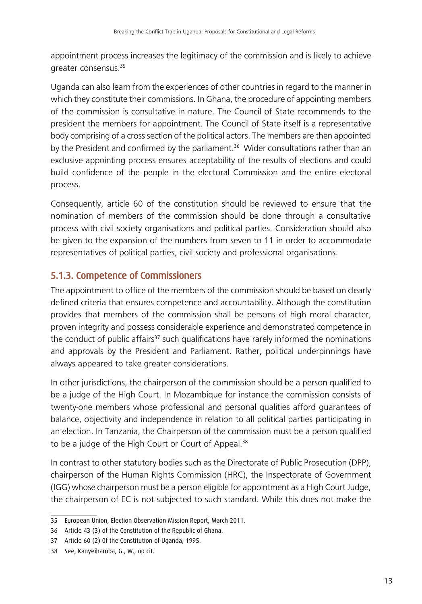appointment process increases the legitimacy of the commission and is likely to achieve greater consensus.<sup>35</sup>

Uganda can also learn from the experiences of other countries in regard to the manner in which they constitute their commissions. In Ghana, the procedure of appointing members of the commission is consultative in nature. The Council of State recommends to the president the members for appointment. The Council of State itself is a representative body comprising of a cross section of the political actors. The members are then appointed by the President and confirmed by the parliament.<sup>36</sup> Wider consultations rather than an exclusive appointing process ensures acceptability of the results of elections and could build confidence of the people in the electoral Commission and the entire electoral process.

Consequently, article 60 of the constitution should be reviewed to ensure that the nomination of members of the commission should be done through a consultative process with civil society organisations and political parties. Consideration should also be given to the expansion of the numbers from seven to 11 in order to accommodate representatives of political parties, civil society and professional organisations.

#### 5.1.3. Competence of Commissioners

The appointment to office of the members of the commission should be based on clearly defined criteria that ensures competence and accountability. Although the constitution provides that members of the commission shall be persons of high moral character, proven integrity and possess considerable experience and demonstrated competence in the conduct of public affairs $37$  such qualifications have rarely informed the nominations and approvals by the President and Parliament. Rather, political underpinnings have always appeared to take greater considerations.

In other jurisdictions, the chairperson of the commission should be a person qualified to be a judge of the High Court. In Mozambique for instance the commission consists of twenty-one members whose professional and personal qualities afford guarantees of balance, objectivity and independence in relation to all political parties participating in an election. In Tanzania, the Chairperson of the commission must be a person qualified to be a judge of the High Court or Court of Appeal.<sup>38</sup>

In contrast to other statutory bodies such as the Directorate of Public Prosecution (DPP), chairperson of the Human Rights Commission (HRC), the Inspectorate of Government (IGG) whose chairperson must be a person eligible for appointment as a High Court Judge, the chairperson of EC is not subjected to such standard. While this does not make the

<sup>35</sup> European Union, Election Observation Mission Report, March 2011.

<sup>36</sup> Article 43 (3) of the Constitution of the Republic of Ghana.

<sup>37</sup> Article 60 (2) 0f the Constitution of Uganda, 1995.

<sup>38</sup> See, Kanyeihamba, G., W., op cit.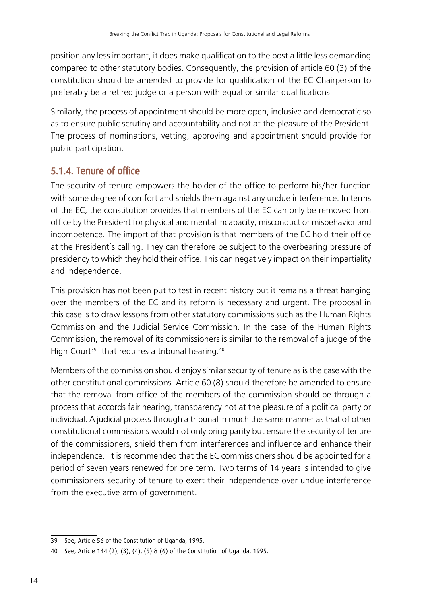position any less important, it does make qualification to the post a little less demanding compared to other statutory bodies. Consequently, the provision of article 60 (3) of the constitution should be amended to provide for qualification of the EC Chairperson to preferably be a retired judge or a person with equal or similar qualifications.

Similarly, the process of appointment should be more open, inclusive and democratic so as to ensure public scrutiny and accountability and not at the pleasure of the President. The process of nominations, vetting, approving and appointment should provide for public participation.

#### 5.1.4. Tenure of office

The security of tenure empowers the holder of the office to perform his/her function with some degree of comfort and shields them against any undue interference. In terms of the EC, the constitution provides that members of the EC can only be removed from office by the President for physical and mental incapacity, misconduct or misbehavior and incompetence. The import of that provision is that members of the EC hold their office at the President's calling. They can therefore be subject to the overbearing pressure of presidency to which they hold their office. This can negatively impact on their impartiality and independence.

This provision has not been put to test in recent history but it remains a threat hanging over the members of the EC and its reform is necessary and urgent. The proposal in this case is to draw lessons from other statutory commissions such as the Human Rights Commission and the Judicial Service Commission. In the case of the Human Rights Commission, the removal of its commissioners is similar to the removal of a judge of the High Court<sup>39</sup> that requires a tribunal hearing.<sup>40</sup>

Members of the commission should enjoy similar security of tenure as is the case with the other constitutional commissions. Article 60 (8) should therefore be amended to ensure that the removal from office of the members of the commission should be through a process that accords fair hearing, transparency not at the pleasure of a political party or individual. A judicial process through a tribunal in much the same manner as that of other constitutional commissions would not only bring parity but ensure the security of tenure of the commissioners, shield them from interferences and influence and enhance their independence. It is recommended that the EC commissioners should be appointed for a period of seven years renewed for one term. Two terms of 14 years is intended to give commissioners security of tenure to exert their independence over undue interference from the executive arm of government.

<sup>39</sup> See, Article 56 of the Constitution of Uganda, 1995.

<sup>40</sup> See, Article 144 (2), (3), (4), (5) & (6) of the Constitution of Uganda, 1995.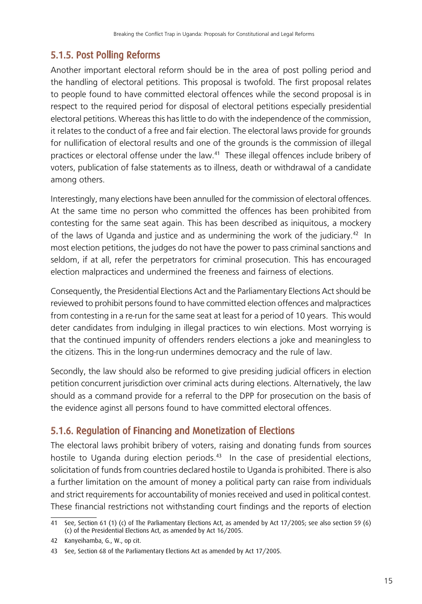### 5.1.5. Post Polling Reforms

Another important electoral reform should be in the area of post polling period and the handling of electoral petitions. This proposal is twofold. The first proposal relates to people found to have committed electoral offences while the second proposal is in respect to the required period for disposal of electoral petitions especially presidential electoral petitions. Whereas this has little to do with the independence of the commission, it relates to the conduct of a free and fair election. The electoral laws provide for grounds for nullification of electoral results and one of the grounds is the commission of illegal practices or electoral offense under the law.41 These illegal offences include bribery of voters, publication of false statements as to illness, death or withdrawal of a candidate among others.

Interestingly, many elections have been annulled for the commission of electoral offences. At the same time no person who committed the offences has been prohibited from contesting for the same seat again. This has been described as iniquitous, a mockery of the laws of Uganda and justice and as undermining the work of the judiciary.<sup>42</sup> In most election petitions, the judges do not have the power to pass criminal sanctions and seldom, if at all, refer the perpetrators for criminal prosecution. This has encouraged election malpractices and undermined the freeness and fairness of elections.

Consequently, the Presidential Elections Act and the Parliamentary Elections Act should be reviewed to prohibit persons found to have committed election offences and malpractices from contesting in a re-run for the same seat at least for a period of 10 years. This would deter candidates from indulging in illegal practices to win elections. Most worrying is that the continued impunity of offenders renders elections a joke and meaningless to the citizens. This in the long-run undermines democracy and the rule of law.

Secondly, the law should also be reformed to give presiding judicial officers in election petition concurrent jurisdiction over criminal acts during elections. Alternatively, the law should as a command provide for a referral to the DPP for prosecution on the basis of the evidence aginst all persons found to have committed electoral offences.

### 5.1.6. Regulation of Financing and Monetization of Elections

The electoral laws prohibit bribery of voters, raising and donating funds from sources hostile to Uganda during election periods.<sup>43</sup> In the case of presidential elections, solicitation of funds from countries declared hostile to Uganda is prohibited. There is also a further limitation on the amount of money a political party can raise from individuals and strict requirements for accountability of monies received and used in political contest. These financial restrictions not withstanding court findings and the reports of election

<sup>41</sup> See, Section 61 (1) (c) of The Parliamentary Elections Act, as amended by Act 17/2005; see also section 59 (6) (c) of the Presidential Elections Act, as amended by Act 16/2005.

<sup>42</sup> Kanyeihamba, G., W., op cit.

<sup>43</sup> See, Section 68 of the Parliamentary Elections Act as amended by Act 17/2005.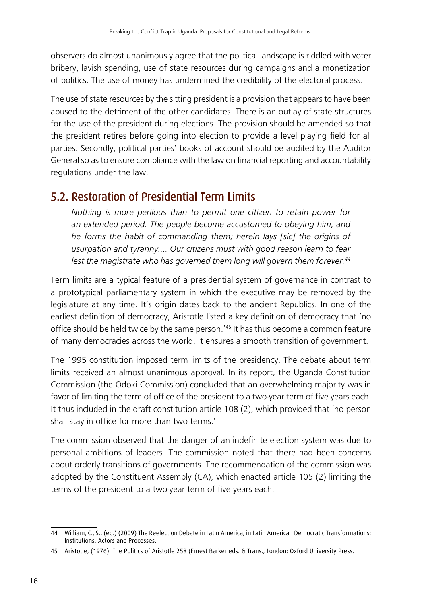observers do almost unanimously agree that the political landscape is riddled with voter bribery, lavish spending, use of state resources during campaigns and a monetization of politics. The use of money has undermined the credibility of the electoral process.

The use of state resources by the sitting president is a provision that appears to have been abused to the detriment of the other candidates. There is an outlay of state structures for the use of the president during elections. The provision should be amended so that the president retires before going into election to provide a level playing field for all parties. Secondly, political parties' books of account should be audited by the Auditor General so as to ensure compliance with the law on financial reporting and accountability regulations under the law.

### 5.2. Restoration of Presidential Term Limits

*Nothing is more perilous than to permit one citizen to retain power for an extended period. The people become accustomed to obeying him, and he forms the habit of commanding them; herein lays [sic] the origins of usurpation and tyranny.... Our citizens must with good reason learn to fear lest the magistrate who has governed them long will govern them forever.<sup>44</sup>*

Term limits are a typical feature of a presidential system of governance in contrast to a prototypical parliamentary system in which the executive may be removed by the legislature at any time. It's origin dates back to the ancient Republics. In one of the earliest definition of democracy, Aristotle listed a key definition of democracy that 'no office should be held twice by the same person.'45 It has thus become a common feature of many democracies across the world. It ensures a smooth transition of government.

The 1995 constitution imposed term limits of the presidency. The debate about term limits received an almost unanimous approval. In its report, the Uganda Constitution Commission (the Odoki Commission) concluded that an overwhelming majority was in favor of limiting the term of office of the president to a two-year term of five years each. It thus included in the draft constitution article 108 (2), which provided that 'no person shall stay in office for more than two terms.'

The commission observed that the danger of an indefinite election system was due to personal ambitions of leaders. The commission noted that there had been concerns about orderly transitions of governments. The recommendation of the commission was adopted by the Constituent Assembly (CA), which enacted article 105 (2) limiting the terms of the president to a two-year term of five years each.

<sup>44</sup> William, C., S., (ed.) (2009) The Reelection Debate in Latin America, in Latin American Democratic Transformations: Institutions, Actors and Processes.

<sup>45</sup> Aristotle, (1976). The Politics of Aristotle 258 (Ernest Barker eds. & Trans., London: Oxford University Press.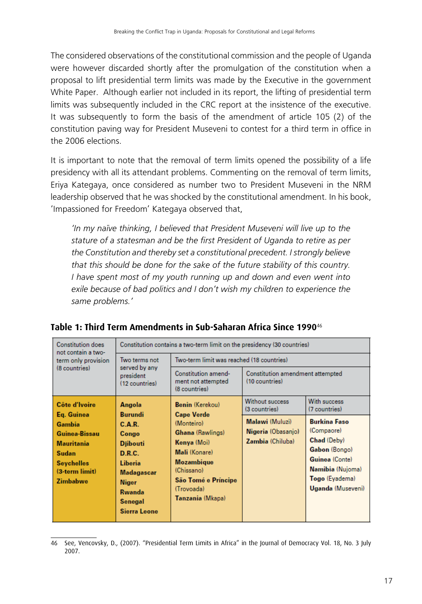The considered observations of the constitutional commission and the people of Uganda were however discarded shortly after the promulgation of the constitution when a proposal to lift presidential term limits was made by the Executive in the government White Paper. Although earlier not included in its report, the lifting of presidential term limits was subsequently included in the CRC report at the insistence of the executive. It was subsequently to form the basis of the amendment of article 105 (2) of the constitution paving way for President Museveni to contest for a third term in office in the 2006 elections.

It is important to note that the removal of term limits opened the possibility of a life presidency with all its attendant problems. Commenting on the removal of term limits, Eriya Kategaya, once considered as number two to President Museveni in the NRM leadership observed that he was shocked by the constitutional amendment. In his book, 'Impassioned for Freedom' Kategaya observed that,

*'In my naïve thinking, I believed that President Museveni will live up to the stature of a statesman and be the first President of Uganda to retire as per the Constitution and thereby set a constitutional precedent. I strongly believe that this should be done for the sake of the future stability of this country. I have spent most of my youth running up and down and even went into exile because of bad politics and I don't wish my children to experience the same problems.'*

| <b>Constitution does</b><br>not contain a two-                                                                                                                                                                                                  | Constitution contains a two-term limit on the presidency (30 countries)                                                                                                                |                                                            |                                                                                                                                                |                               |
|-------------------------------------------------------------------------------------------------------------------------------------------------------------------------------------------------------------------------------------------------|----------------------------------------------------------------------------------------------------------------------------------------------------------------------------------------|------------------------------------------------------------|------------------------------------------------------------------------------------------------------------------------------------------------|-------------------------------|
| term only provision<br>(8 countries)                                                                                                                                                                                                            | Two terms not<br>served by any<br>president<br>(12 countries)                                                                                                                          | Two-term limit was reached (18 countries)                  |                                                                                                                                                |                               |
|                                                                                                                                                                                                                                                 |                                                                                                                                                                                        | Constitution amend-<br>ment not attempted<br>(8 countries) | Constitution amendment attempted<br>(10 countries)                                                                                             |                               |
| Côte d'Ivoire<br>Eq. Guinea                                                                                                                                                                                                                     | Angola<br>Burundi                                                                                                                                                                      | <b>Benin (Kerekou)</b>                                     | Without success<br>(3 countries)                                                                                                               | With success<br>(7 countries) |
| Gambia<br>C.A.R.<br>Guinea-Bissau<br>Congo<br><b>Mauritania</b><br><b>Diibouti</b><br>D.R.C.<br>Sudan<br><b>Liberia</b><br><b>Seychelles</b><br>$(3-term limit)$<br>Madagascar<br>Zimbabwe<br><b>Niger</b><br>Rwanda<br>Senegal<br>Sierra Leone | <b>Cape Verde</b><br>(Monteiro)<br><b>Ghana</b> (Rawlings)<br>Kenya (Moi)<br>Mali (Konare)<br><b>Mozambique</b><br>(Chissano)<br>São Tomé e Príncipe<br>(Trovoada)<br>Tanzania (Mkapa) | Malawi (Muluzi)<br>Nigeria (Obasanjo)<br>Zambia (Chiluba)  | <b>Burkina Faso</b><br>(Compaore)<br>Chad (Deby)<br>Gabon (Bongo)<br>Guinea (Conte)<br>Namibia (Nujoma)<br>Togo (Eyadema)<br>Uganda (Museveni) |                               |

#### **Table 1: Third Term Amendments in Sub-Saharan Africa Since 1990**<sup>46</sup>

<sup>46</sup> See, Vencovsky, D., (2007). "Presidential Term Limits in Africa" in the Journal of Democracy Vol. 18, No. 3 July 2007.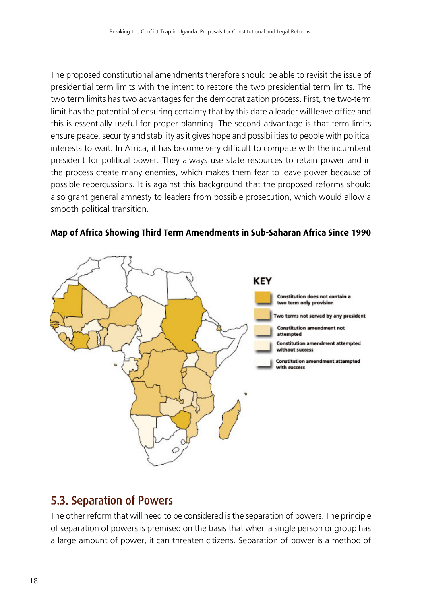The proposed constitutional amendments therefore should be able to revisit the issue of presidential term limits with the intent to restore the two presidential term limits. The two term limits has two advantages for the democratization process. First, the two-term limit has the potential of ensuring certainty that by this date a leader will leave office and this is essentially useful for proper planning. The second advantage is that term limits ensure peace, security and stability as it gives hope and possibilities to people with political interests to wait. In Africa, it has become very difficult to compete with the incumbent president for political power. They always use state resources to retain power and in the process create many enemies, which makes them fear to leave power because of possible repercussions. It is against this background that the proposed reforms should also grant general amnesty to leaders from possible prosecution, which would allow a smooth political transition.



#### **Map of Africa Showing Third Term Amendments in Sub-Saharan Africa Since 1990**

### 5.3. Separation of Powers

The other reform that will need to be considered is the separation of powers. The principle of separation of powers is premised on the basis that when a single person or group has a large amount of power, it can threaten citizens. Separation of power is a method of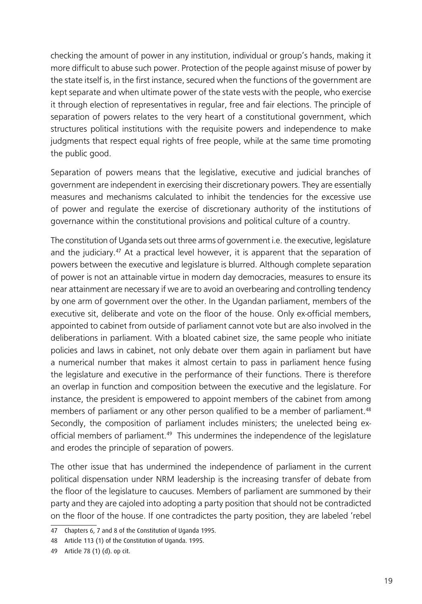checking the amount of power in any institution, individual or group's hands, making it more difficult to abuse such power. Protection of the people against misuse of power by the state itself is, in the first instance, secured when the functions of the government are kept separate and when ultimate power of the state vests with the people, who exercise it through election of representatives in regular, free and fair elections. The principle of separation of powers relates to the very heart of a constitutional government, which structures political institutions with the requisite powers and independence to make judgments that respect equal rights of free people, while at the same time promoting the public good.

Separation of powers means that the legislative, executive and judicial branches of government are independent in exercising their discretionary powers. They are essentially measures and mechanisms calculated to inhibit the tendencies for the excessive use of power and regulate the exercise of discretionary authority of the institutions of governance within the constitutional provisions and political culture of a country.

The constitution of Uganda sets out three arms of government i.e. the executive, legislature and the judiciary.<sup>47</sup> At a practical level however, it is apparent that the separation of powers between the executive and legislature is blurred. Although complete separation of power is not an attainable virtue in modern day democracies, measures to ensure its near attainment are necessary if we are to avoid an overbearing and controlling tendency by one arm of government over the other. In the Ugandan parliament, members of the executive sit, deliberate and vote on the floor of the house. Only ex-official members, appointed to cabinet from outside of parliament cannot vote but are also involved in the deliberations in parliament. With a bloated cabinet size, the same people who initiate policies and laws in cabinet, not only debate over them again in parliament but have a numerical number that makes it almost certain to pass in parliament hence fusing the legislature and executive in the performance of their functions. There is therefore an overlap in function and composition between the executive and the legislature. For instance, the president is empowered to appoint members of the cabinet from among members of parliament or any other person qualified to be a member of parliament.<sup>48</sup> Secondly, the composition of parliament includes ministers; the unelected being exofficial members of parliament.<sup>49</sup> This undermines the independence of the legislature and erodes the principle of separation of powers.

The other issue that has undermined the independence of parliament in the current political dispensation under NRM leadership is the increasing transfer of debate from the floor of the legislature to caucuses. Members of parliament are summoned by their party and they are cajoled into adopting a party position that should not be contradicted on the floor of the house. If one contradictes the party position, they are labeled 'rebel

<sup>47</sup> Chapters 6, 7 and 8 of the Constitution of Uganda 1995.

<sup>48</sup> Article 113 (1) of the Constitution of Uganda. 1995.

<sup>49</sup> Article 78 (1) (d). op cit.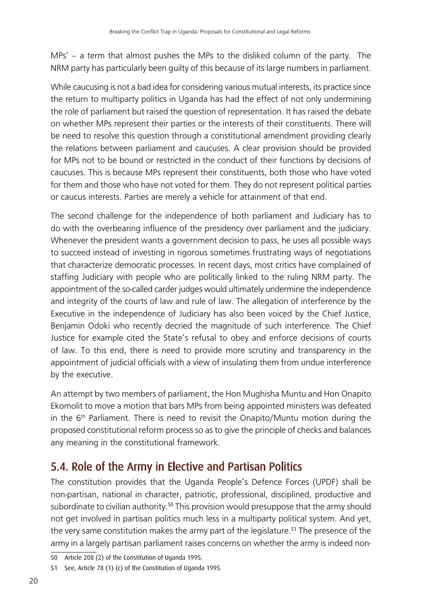MPs' – a term that almost pushes the MPs to the disliked column of the party. The NRM party has particularly been guilty of this because of its large numbers in parliament.

While caucusing is not a bad idea for considering various mutual interests, its practice since the return to multiparty politics in Uganda has had the effect of not only undermining the role of parliament but raised the question of representation. It has raised the debate on whether MPs represent their parties or the interests of their constituents. There will be need to resolve this question through a constitutional amendment providing clearly the relations between parliament and caucuses. A clear provision should be provided for MPs not to be bound or restricted in the conduct of their functions by decisions of caucuses. This is because MPs represent their constituents, both those who have voted for them and those who have not voted for them. They do not represent political parties or caucus interests. Parties are merely a vehicle for attainment of that end.

The second challenge for the independence of both parliament and Judiciary has to do with the overbearing influence of the presidency over parliament and the judiciary. Whenever the president wants a government decision to pass, he uses all possible ways to succeed instead of investing in rigorous sometimes frustrating ways of negotiations that characterize democratic processes. In recent days, most critics have complained of staffing Judiciary with people who are politically linked to the ruling NRM party. The appointment of the so-called carder judges would ultimately undermine the independence and integrity of the courts of law and rule of law. The allegation of interference by the Executive in the independence of Judiciary has also been voiced by the Chief Justice, Benjamin Odoki who recently decried the magnitude of such interference. The Chief Justice for example cited the State's refusal to obey and enforce decisions of courts of law. To this end, there is need to provide more scrutiny and transparency in the appointment of judicial officials with a view of insulating them from undue interference by the executive.

An attempt by two members of parliament, the Hon Mughisha Muntu and Hon Onapito Ekomolit to move a motion that bars MPs from being appointed ministers was defeated in the  $6<sup>th</sup>$  Parliament. There is need to revisit the Onapito/Muntu motion during the proposed constitutional reform process so as to give the principle of checks and balances any meaning in the constitutional framework.

## 5.4. Role of the Army in Elective and Partisan Politics

The constitution provides that the Uganda People's Defence Forces (UPDF) shall be non-partisan, national in character, patriotic, professional, disciplined, productive and subordinate to civilian authority.<sup>50</sup> This provision would presuppose that the army should not get involved in partisan politics much less in a multiparty political system. And yet, the very same constitution makes the army part of the legislature.<sup>51</sup> The presence of the army in a largely partisan parliament raises concerns on whether the army is indeed non-

<sup>50</sup> Article 208 (2) of the Constitution of Uganda 1995.

<sup>51</sup> See, Article 78 (1) (c) of the Constitution of Uganda 1995.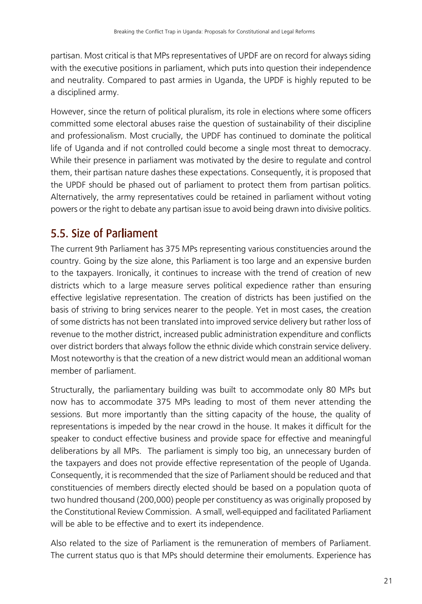partisan. Most critical is that MPs representatives of UPDF are on record for always siding with the executive positions in parliament, which puts into question their independence and neutrality. Compared to past armies in Uganda, the UPDF is highly reputed to be a disciplined army.

However, since the return of political pluralism, its role in elections where some officers committed some electoral abuses raise the question of sustainability of their discipline and professionalism. Most crucially, the UPDF has continued to dominate the political life of Uganda and if not controlled could become a single most threat to democracy. While their presence in parliament was motivated by the desire to regulate and control them, their partisan nature dashes these expectations. Consequently, it is proposed that the UPDF should be phased out of parliament to protect them from partisan politics. Alternatively, the army representatives could be retained in parliament without voting powers or the right to debate any partisan issue to avoid being drawn into divisive politics.

## 5.5. Size of Parliament

The current 9th Parliament has 375 MPs representing various constituencies around the country. Going by the size alone, this Parliament is too large and an expensive burden to the taxpayers. Ironically, it continues to increase with the trend of creation of new districts which to a large measure serves political expedience rather than ensuring effective legislative representation. The creation of districts has been justified on the basis of striving to bring services nearer to the people. Yet in most cases, the creation of some districts has not been translated into improved service delivery but rather loss of revenue to the mother district, increased public administration expenditure and conflicts over district borders that always follow the ethnic divide which constrain service delivery. Most noteworthy is that the creation of a new district would mean an additional woman member of parliament.

Structurally, the parliamentary building was built to accommodate only 80 MPs but now has to accommodate 375 MPs leading to most of them never attending the sessions. But more importantly than the sitting capacity of the house, the quality of representations is impeded by the near crowd in the house. It makes it difficult for the speaker to conduct effective business and provide space for effective and meaningful deliberations by all MPs. The parliament is simply too big, an unnecessary burden of the taxpayers and does not provide effective representation of the people of Uganda. Consequently, it is recommended that the size of Parliament should be reduced and that constituencies of members directly elected should be based on a population quota of two hundred thousand (200,000) people per constituency as was originally proposed by the Constitutional Review Commission. A small, well-equipped and facilitated Parliament will be able to be effective and to exert its independence.

Also related to the size of Parliament is the remuneration of members of Parliament. The current status quo is that MPs should determine their emoluments. Experience has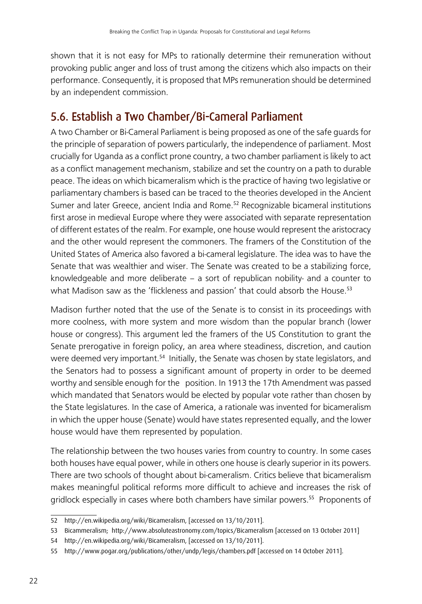shown that it is not easy for MPs to rationally determine their remuneration without provoking public anger and loss of trust among the citizens which also impacts on their performance. Consequently, it is proposed that MPs remuneration should be determined by an independent commission.

## 5.6. Establish a Two Chamber/Bi-Cameral Parliament

A two Chamber or Bi-Cameral Parliament is being proposed as one of the safe guards for the principle of separation of powers particularly, the independence of parliament. Most crucially for Uganda as a conflict prone country, a two chamber parliament is likely to act as a conflict management mechanism, stabilize and set the country on a path to durable peace. The ideas on which bicameralism which is the practice of having two legislative or parliamentary chambers is based can be traced to the theories developed in the Ancient Sumer and later Greece, ancient India and Rome.<sup>52</sup> Recognizable bicameral institutions first arose in medieval Europe where they were associated with separate representation of different estates of the realm. For example, one house would represent the aristocracy and the other would represent the commoners. The framers of the Constitution of the United States of America also favored a bi-cameral legislature. The idea was to have the Senate that was wealthier and wiser. The Senate was created to be a stabilizing force, knowledgeable and more deliberate – a sort of republican nobility- and a counter to what Madison saw as the 'flickleness and passion' that could absorb the House.<sup>53</sup>

Madison further noted that the use of the Senate is to consist in its proceedings with more coolness, with more system and more wisdom than the popular branch (lower house or congress). This argument led the framers of the US Constitution to grant the Senate prerogative in foreign policy, an area where steadiness, discretion, and caution were deemed very important.<sup>54</sup> Initially, the Senate was chosen by state legislators, and the Senators had to possess a significant amount of property in order to be deemed worthy and sensible enough for the position. In 1913 the 17th Amendment was passed which mandated that Senators would be elected by popular vote rather than chosen by the State legislatures. In the case of America, a rationale was invented for bicameralism in which the upper house (Senate) would have states represented equally, and the lower house would have them represented by population.

The relationship between the two houses varies from country to country. In some cases both houses have equal power, while in others one house is clearly superior in its powers. There are two schools of thought about bi-cameralism. Critics believe that bicameralism makes meaningful political reforms more difficult to achieve and increases the risk of gridlock especially in cases where both chambers have similar powers.<sup>55</sup> Proponents of

<sup>52</sup> http://en.wikipedia.org/wiki/Bicameralism, [accessed on 13/10/2011].

<sup>53</sup> Bicammeralism; http://www.absoluteastronomy.com/topics/Bicameralism [accessed on 13 October 2011]

<sup>54</sup> http://en.wikipedia.org/wiki/Bicameralism, [accessed on 13/10/2011].

<sup>55</sup> http://www.pogar.org/publications/other/undp/legis/chambers.pdf [accessed on 14 October 2011].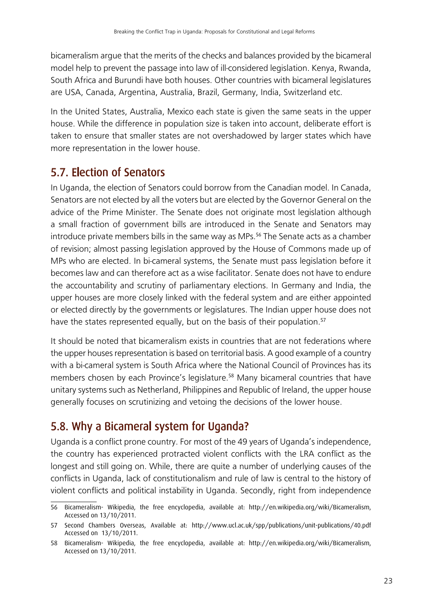bicameralism argue that the merits of the checks and balances provided by the bicameral model help to prevent the passage into law of ill-considered legislation. Kenya, Rwanda, South Africa and Burundi have both houses. Other countries with bicameral legislatures are USA, Canada, Argentina, Australia, Brazil, Germany, India, Switzerland etc.

In the United States, Australia, Mexico each state is given the same seats in the upper house. While the difference in population size is taken into account, deliberate effort is taken to ensure that smaller states are not overshadowed by larger states which have more representation in the lower house.

## 5.7. Election of Senators

In Uganda, the election of Senators could borrow from the Canadian model. In Canada, Senators are not elected by all the voters but are elected by the Governor General on the advice of the Prime Minister. The Senate does not originate most legislation although a small fraction of government bills are introduced in the Senate and Senators may introduce private members bills in the same way as MPs.<sup>56</sup> The Senate acts as a chamber of revision; almost passing legislation approved by the House of Commons made up of MPs who are elected. In bi-cameral systems, the Senate must pass legislation before it becomes law and can therefore act as a wise facilitator. Senate does not have to endure the accountability and scrutiny of parliamentary elections. In Germany and India, the upper houses are more closely linked with the federal system and are either appointed or elected directly by the governments or legislatures. The Indian upper house does not have the states represented equally, but on the basis of their population.<sup>57</sup>

It should be noted that bicameralism exists in countries that are not federations where the upper houses representation is based on territorial basis. A good example of a country with a bi-cameral system is South Africa where the National Council of Provinces has its members chosen by each Province's legislature.<sup>58</sup> Many bicameral countries that have unitary systems such as Netherland, Philippines and Republic of Ireland, the upper house generally focuses on scrutinizing and vetoing the decisions of the lower house.

## 5.8. Why a Bicameral system for Uganda?

Uganda is a conflict prone country. For most of the 49 years of Uganda's independence, the country has experienced protracted violent conflicts with the LRA conflict as the longest and still going on. While, there are quite a number of underlying causes of the conflicts in Uganda, lack of constitutionalism and rule of law is central to the history of violent conflicts and political instability in Uganda. Secondly, right from independence

<sup>56</sup> Bicameralism- Wikipedia, the free encyclopedia, available at: http://en.wikipedia.org/wiki/Bicameralism, Accessed on 13/10/2011.

<sup>57</sup> Second Chambers Overseas, Available at: http://www.ucl.ac.uk/spp/publications/unit-publications/40.pdf Accessed on 13/10/2011.

<sup>58</sup> Bicameralism- Wikipedia, the free encyclopedia, available at: http://en.wikipedia.org/wiki/Bicameralism, Accessed on 13/10/2011.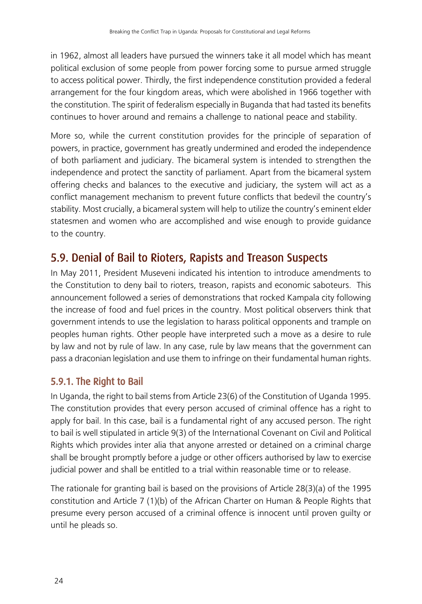in 1962, almost all leaders have pursued the winners take it all model which has meant political exclusion of some people from power forcing some to pursue armed struggle to access political power. Thirdly, the first independence constitution provided a federal arrangement for the four kingdom areas, which were abolished in 1966 together with the constitution. The spirit of federalism especially in Buganda that had tasted its benefits continues to hover around and remains a challenge to national peace and stability.

More so, while the current constitution provides for the principle of separation of powers, in practice, government has greatly undermined and eroded the independence of both parliament and judiciary. The bicameral system is intended to strengthen the independence and protect the sanctity of parliament. Apart from the bicameral system offering checks and balances to the executive and judiciary, the system will act as a conflict management mechanism to prevent future conflicts that bedevil the country's stability. Most crucially, a bicameral system will help to utilize the country's eminent elder statesmen and women who are accomplished and wise enough to provide guidance to the country.

### 5.9. Denial of Bail to Rioters, Rapists and Treason Suspects

In May 2011, President Museveni indicated his intention to introduce amendments to the Constitution to deny bail to rioters, treason, rapists and economic saboteurs. This announcement followed a series of demonstrations that rocked Kampala city following the increase of food and fuel prices in the country. Most political observers think that government intends to use the legislation to harass political opponents and trample on peoples human rights. Other people have interpreted such a move as a desire to rule by law and not by rule of law. In any case, rule by law means that the government can pass a draconian legislation and use them to infringe on their fundamental human rights.

### 5.9.1. The Right to Bail

In Uganda, the right to bail stems from Article 23(6) of the Constitution of Uganda 1995. The constitution provides that every person accused of criminal offence has a right to apply for bail. In this case, bail is a fundamental right of any accused person. The right to bail is well stipulated in article 9(3) of the International Covenant on Civil and Political Rights which provides inter alia that anyone arrested or detained on a criminal charge shall be brought promptly before a judge or other officers authorised by law to exercise judicial power and shall be entitled to a trial within reasonable time or to release.

The rationale for granting bail is based on the provisions of Article 28(3)(a) of the 1995 constitution and Article 7 (1)(b) of the African Charter on Human & People Rights that presume every person accused of a criminal offence is innocent until proven guilty or until he pleads so.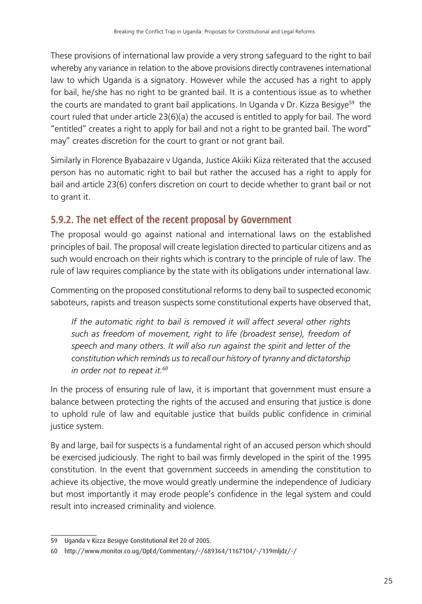These provisions of international law provide a very strong safeguard to the right to bail whereby any variance in relation to the above provisions directly contravenes international law to which Uganda is a signatory. However while the accused has a right to apply for bail, he/she has no right to be granted bail. It is a contentious issue as to whether the courts are mandated to grant bail applications. In Uganda v Dr. Kizza Besigye<sup>59</sup> the court ruled that under article 23(6)(a) the accused is entitled to apply for bail. The word "entitled" creates a right to apply for bail and not a right to be granted bail. The word" may" creates discretion for the court to grant or not grant bail.

Similarly in Florence Byabazaire v Uganda, Justice Akiiki Kiiza reiterated that the accused person has no automatic right to bail but rather the accused has a right to apply for bail and article 23(6) confers discretion on court to decide whether to grant bail or not to grant it.

### 5.9.2. The net effect of the recent proposal by Government

The proposal would go against national and international laws on the established principles of bail. The proposal will create legislation directed to particular citizens and as such would encroach on their rights which is contrary to the principle of rule of law. The rule of law requires compliance by the state with its obligations under international law.

Commenting on the proposed constitutional reforms to deny bail to suspected economic saboteurs, rapists and treason suspects some constitutional experts have observed that,

*If the automatic right to bail is removed it will affect several other rights such as freedom of movement, right to life (broadest sense), freedom of speech and many others. It will also run against the spirit and letter of the constitution which reminds us to recall our history of tyranny and dictatorship in order not to repeat it.<sup>60</sup>*

In the process of ensuring rule of law, it is important that government must ensure a balance between protecting the rights of the accused and ensuring that justice is done to uphold rule of law and equitable justice that builds public confidence in criminal justice system.

By and large, bail for suspects is a fundamental right of an accused person which should be exercised judiciously. The right to bail was firmly developed in the spirit of the 1995 constitution. In the event that government succeeds in amending the constitution to achieve its objective, the move would greatly undermine the independence of Judiciary but most importantly it may erode people's confidence in the legal system and could result into increased criminality and violence.

<sup>59</sup> Uganda v Kizza Besigye Constitutional Ref 20 of 2005.

<sup>60</sup> http://www.monitor.co.ug/OpEd/Commentary/-/689364/1167104/-/139mljdz/-/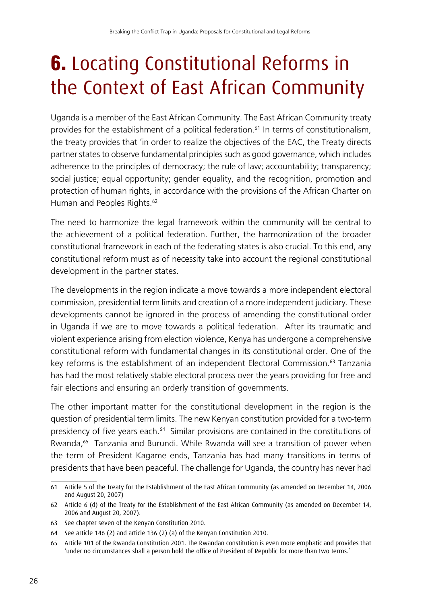# **6.** Locating Constitutional Reforms in the Context of East African Community

Uganda is a member of the East African Community. The East African Community treaty provides for the establishment of a political federation.<sup>61</sup> In terms of constitutionalism, the treaty provides that 'in order to realize the objectives of the EAC, the Treaty directs partner states to observe fundamental principles such as good governance, which includes adherence to the principles of democracy; the rule of law; accountability; transparency; social justice; equal opportunity; gender equality, and the recognition, promotion and protection of human rights, in accordance with the provisions of the African Charter on Human and Peoples Rights.<sup>62</sup>

The need to harmonize the legal framework within the community will be central to the achievement of a political federation. Further, the harmonization of the broader constitutional framework in each of the federating states is also crucial. To this end, any constitutional reform must as of necessity take into account the regional constitutional development in the partner states.

The developments in the region indicate a move towards a more independent electoral commission, presidential term limits and creation of a more independent judiciary. These developments cannot be ignored in the process of amending the constitutional order in Uganda if we are to move towards a political federation. After its traumatic and violent experience arising from election violence, Kenya has undergone a comprehensive constitutional reform with fundamental changes in its constitutional order. One of the key reforms is the establishment of an independent Electoral Commission.<sup>63</sup> Tanzania has had the most relatively stable electoral process over the years providing for free and fair elections and ensuring an orderly transition of governments.

The other important matter for the constitutional development in the region is the question of presidential term limits. The new Kenyan constitution provided for a two-term presidency of five years each.<sup>64</sup> Similar provisions are contained in the constitutions of Rwanda,<sup>65</sup> Tanzania and Burundi. While Rwanda will see a transition of power when the term of President Kagame ends, Tanzania has had many transitions in terms of presidents that have been peaceful. The challenge for Uganda, the country has never had

<sup>61</sup> Article 5 of the Treaty for the Establishment of the East African Community (as amended on December 14, 2006 and August 20, 2007)

<sup>62</sup> Article 6 (d) of the Treaty for the Establishment of the East African Community (as amended on December 14, 2006 and August 20, 2007).

<sup>63</sup> See chapter seven of the Kenyan Constitution 2010.

<sup>64</sup> See article 146 (2) and article 136 (2) (a) of the Kenyan Constitution 2010.

<sup>65</sup> Article 101 of the Rwanda Constitution 2001. The Rwandan constitution is even more emphatic and provides that 'under no circumstances shall a person hold the office of President of Republic for more than two terms.'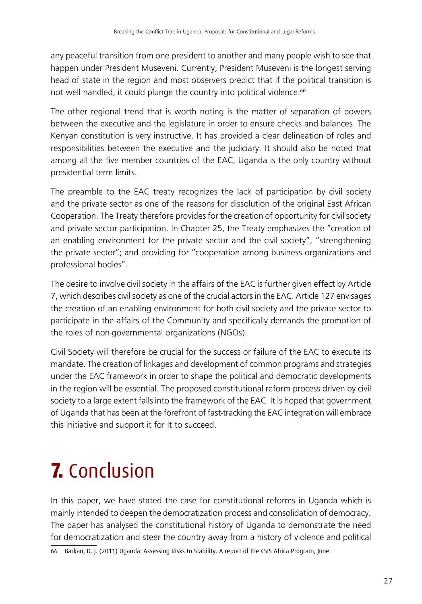any peaceful transition from one president to another and many people wish to see that happen under President Museveni. Currently, President Museveni is the longest serving head of state in the region and most observers predict that if the political transition is not well handled, it could plunge the country into political violence.<sup>66</sup>

The other regional trend that is worth noting is the matter of separation of powers between the executive and the legislature in order to ensure checks and balances. The Kenyan constitution is very instructive. It has provided a clear delineation of roles and responsibilities between the executive and the judiciary. It should also be noted that among all the five member countries of the EAC, Uganda is the only country without presidential term limits.

The preamble to the EAC treaty recognizes the lack of participation by civil society and the private sector as one of the reasons for dissolution of the original East African Cooperation. The Treaty therefore provides for the creation of opportunity for civil society and private sector participation. In Chapter 25, the Treaty emphasizes the "creation of an enabling environment for the private sector and the civil society", "strengthening the private sector"; and providing for "cooperation among business organizations and professional bodies".

The desire to involve civil society in the affairs of the EAC is further given effect by Article 7, which describes civil society as one of the crucial actors in the EAC. Article 127 envisages the creation of an enabling environment for both civil society and the private sector to participate in the affairs of the Community and specifically demands the promotion of the roles of non-governmental organizations (NGOs).

Civil Society will therefore be crucial for the success or failure of the EAC to execute its mandate. The creation of linkages and development of common programs and strategies under the EAC framework in order to shape the political and democratic developments in the region will be essential. The proposed constitutional reform process driven by civil society to a large extent falls into the framework of the EAC. It is hoped that government of Uganda that has been at the forefront of fast-tracking the EAC integration will embrace this initiative and support it for it to succeed.

## 7. Conclusion

In this paper, we have stated the case for constitutional reforms in Uganda which is mainly intended to deepen the democratization process and consolidation of democracy. The paper has analysed the constitutional history of Uganda to demonstrate the need for democratization and steer the country away from a history of violence and political

66 Barkan, D. J. (2011) Uganda: Assessing Risks to Stability. A report of the CSIS Africa Program, June.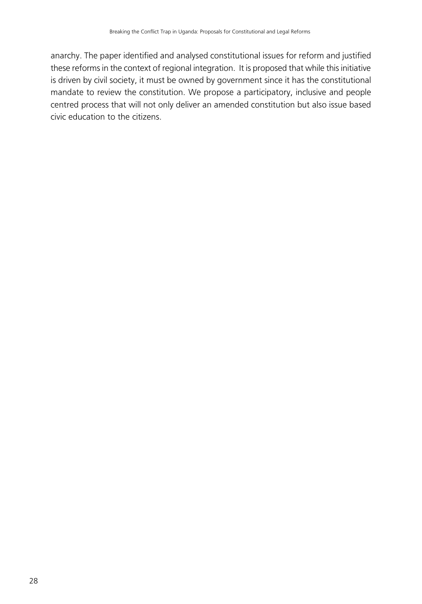anarchy. The paper identified and analysed constitutional issues for reform and justified these reforms in the context of regional integration. It is proposed that while this initiative is driven by civil society, it must be owned by government since it has the constitutional mandate to review the constitution. We propose a participatory, inclusive and people centred process that will not only deliver an amended constitution but also issue based civic education to the citizens.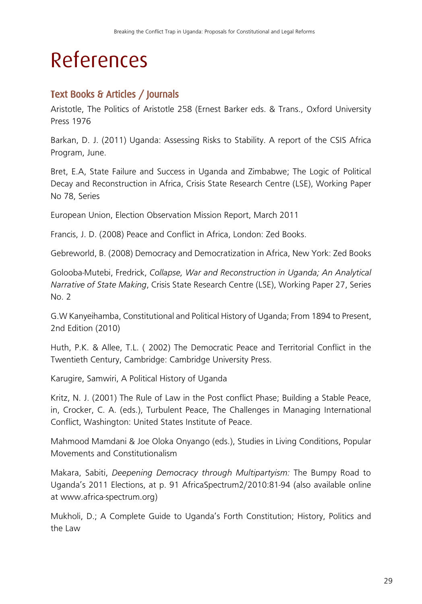# References

### Text Books & Articles / Journals

Aristotle, The Politics of Aristotle 258 (Ernest Barker eds. & Trans., Oxford University Press 1976

Barkan, D. J. (2011) Uganda: Assessing Risks to Stability. A report of the CSIS Africa Program, June.

Bret, E.A, State Failure and Success in Uganda and Zimbabwe; The Logic of Political Decay and Reconstruction in Africa, Crisis State Research Centre (LSE), Working Paper No 78, Series

European Union, Election Observation Mission Report, March 2011

Francis, J. D. (2008) Peace and Conflict in Africa, London: Zed Books.

Gebreworld, B. (2008) Democracy and Democratization in Africa, New York: Zed Books

Golooba-Mutebi, Fredrick, *Collapse, War and Reconstruction in Uganda; An Analytical Narrative of State Making*, Crisis State Research Centre (LSE), Working Paper 27, Series No. 2

G.W Kanyeihamba, Constitutional and Political History of Uganda; From 1894 to Present, 2nd Edition (2010)

Huth, P.K. & Allee, T.L. ( 2002) The Democratic Peace and Territorial Conflict in the Twentieth Century, Cambridge: Cambridge University Press.

Karugire, Samwiri, A Political History of Uganda

Kritz, N. J. (2001) The Rule of Law in the Post conflict Phase; Building a Stable Peace, in, Crocker, C. A. (eds.), Turbulent Peace, The Challenges in Managing International Conflict, Washington: United States Institute of Peace.

Mahmood Mamdani & Joe Oloka Onyango (eds.), Studies in Living Conditions, Popular Movements and Constitutionalism

Makara, Sabiti, *Deepening Democracy through Multipartyism:* The Bumpy Road to Uganda's 2011 Elections, at p. 91 AfricaSpectrum2/2010:81-94 (also available online at www.africa-spectrum.org)

Mukholi, D.; A Complete Guide to Uganda's Forth Constitution; History, Politics and the Law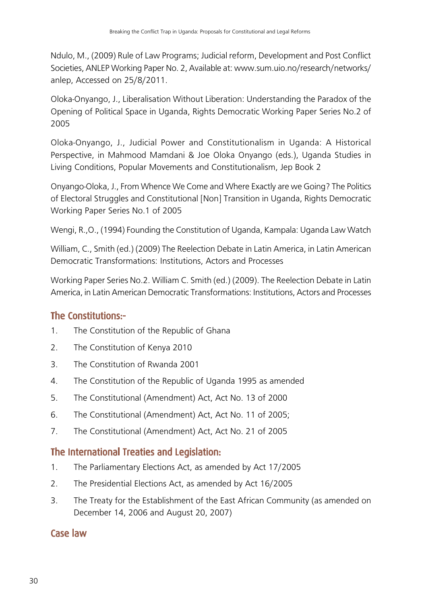Ndulo, M., (2009) Rule of Law Programs; Judicial reform, Development and Post Conflict Societies, ANLEP Working Paper No. 2, Available at: www.sum.uio.no/research/networks/ anlep, Accessed on 25/8/2011.

Oloka-Onyango, J., Liberalisation Without Liberation: Understanding the Paradox of the Opening of Political Space in Uganda, Rights Democratic Working Paper Series No.2 of 2005

Oloka-Onyango, J., Judicial Power and Constitutionalism in Uganda: A Historical Perspective, in Mahmood Mamdani & Joe Oloka Onyango (eds.), Uganda Studies in Living Conditions, Popular Movements and Constitutionalism, Jep Book 2

Onyango-Oloka, J., From Whence We Come and Where Exactly are we Going? The Politics of Electoral Struggles and Constitutional [Non] Transition in Uganda, Rights Democratic Working Paper Series No.1 of 2005

Wengi, R.,O., (1994) Founding the Constitution of Uganda, Kampala: Uganda Law Watch

William, C., Smith (ed.) (2009) The Reelection Debate in Latin America, in Latin American Democratic Transformations: Institutions, Actors and Processes

Working Paper Series No.2. William C. Smith (ed.) (2009). The Reelection Debate in Latin America, in Latin American Democratic Transformations: Institutions, Actors and Processes

#### The Constitutions:-

- 1. The Constitution of the Republic of Ghana
- 2. The Constitution of Kenya 2010
- 3. The Constitution of Rwanda 2001
- 4. The Constitution of the Republic of Uganda 1995 as amended
- 5. The Constitutional (Amendment) Act, Act No. 13 of 2000
- 6. The Constitutional (Amendment) Act, Act No. 11 of 2005;
- 7. The Constitutional (Amendment) Act, Act No. 21 of 2005

#### The International Treaties and Legislation:

- 1. The Parliamentary Elections Act, as amended by Act 17/2005
- 2. The Presidential Elections Act, as amended by Act 16/2005
- 3. The Treaty for the Establishment of the East African Community (as amended on December 14, 2006 and August 20, 2007)

#### Case law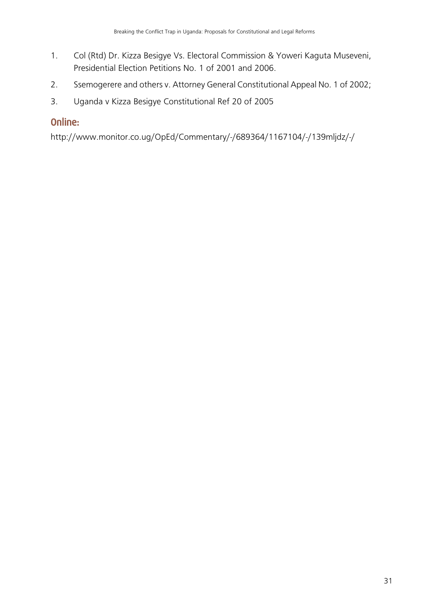- 1. Col (Rtd) Dr. Kizza Besigye Vs. Electoral Commission & Yoweri Kaguta Museveni, Presidential Election Petitions No. 1 of 2001 and 2006.
- 2. Ssemogerere and others v. Attorney General Constitutional Appeal No. 1 of 2002;
- 3. Uganda v Kizza Besigye Constitutional Ref 20 of 2005

#### Online:

http://www.monitor.co.ug/OpEd/Commentary/-/689364/1167104/-/139mljdz/-/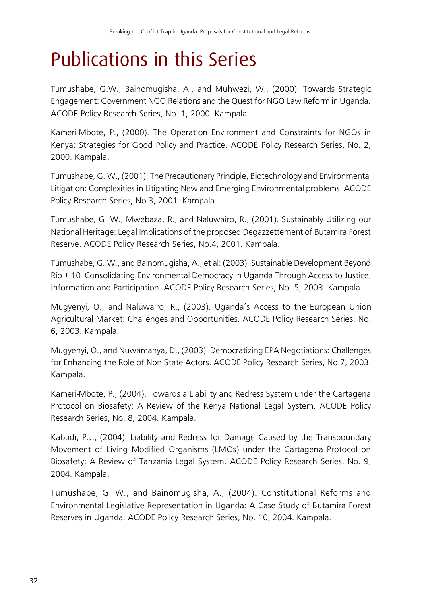## Publications in this Series

Tumushabe, G.W., Bainomugisha, A., and Muhwezi, W., (2000). Towards Strategic Engagement: Government NGO Relations and the Quest for NGO Law Reform in Uganda. ACODE Policy Research Series, No. 1, 2000. Kampala.

Kameri-Mbote, P., (2000). The Operation Environment and Constraints for NGOs in Kenya: Strategies for Good Policy and Practice. ACODE Policy Research Series, No. 2, 2000. Kampala.

Tumushabe, G. W., (2001). The Precautionary Principle, Biotechnology and Environmental Litigation: Complexities in Litigating New and Emerging Environmental problems. ACODE Policy Research Series, No.3, 2001. Kampala.

Tumushabe, G. W., Mwebaza, R., and Naluwairo, R., (2001). Sustainably Utilizing our National Heritage: Legal Implications of the proposed Degazzettement of Butamira Forest Reserve. ACODE Policy Research Series, No.4, 2001. Kampala.

Tumushabe, G. W., and Bainomugisha, A., et al: (2003). Sustainable Development Beyond Rio + 10- Consolidating Environmental Democracy in Uganda Through Access to Justice, Information and Participation. ACODE Policy Research Series, No. 5, 2003. Kampala.

Mugyenyi, O., and Naluwairo, R., (2003). Uganda's Access to the European Union Agricultural Market: Challenges and Opportunities. ACODE Policy Research Series, No. 6, 2003. Kampala.

Mugyenyi, O., and Nuwamanya, D., (2003). Democratizing EPA Negotiations: Challenges for Enhancing the Role of Non State Actors. ACODE Policy Research Series, No.7, 2003. Kampala.

Kameri-Mbote, P., (2004). Towards a Liability and Redress System under the Cartagena Protocol on Biosafety: A Review of the Kenya National Legal System. ACODE Policy Research Series, No. 8, 2004. Kampala.

Kabudi, P.J., (2004). Liability and Redress for Damage Caused by the Transboundary Movement of Living Modified Organisms (LMOs) under the Cartagena Protocol on Biosafety: A Review of Tanzania Legal System. ACODE Policy Research Series, No. 9, 2004. Kampala.

Tumushabe, G. W., and Bainomugisha, A., (2004). Constitutional Reforms and Environmental Legislative Representation in Uganda: A Case Study of Butamira Forest Reserves in Uganda. ACODE Policy Research Series, No. 10, 2004. Kampala.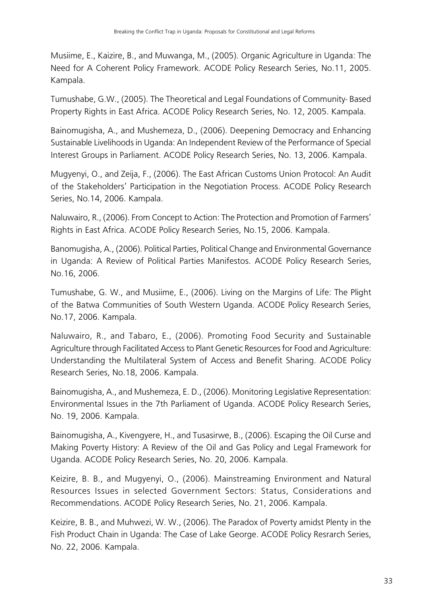Musiime, E., Kaizire, B., and Muwanga, M., (2005). Organic Agriculture in Uganda: The Need for A Coherent Policy Framework. ACODE Policy Research Series, No.11, 2005. Kampala.

Tumushabe, G.W., (2005). The Theoretical and Legal Foundations of Community- Based Property Rights in East Africa. ACODE Policy Research Series, No. 12, 2005. Kampala.

Bainomugisha, A., and Mushemeza, D., (2006). Deepening Democracy and Enhancing Sustainable Livelihoods in Uganda: An Independent Review of the Performance of Special Interest Groups in Parliament. ACODE Policy Research Series, No. 13, 2006. Kampala.

Mugyenyi, O., and Zeija, F., (2006). The East African Customs Union Protocol: An Audit of the Stakeholders' Participation in the Negotiation Process. ACODE Policy Research Series, No.14, 2006. Kampala.

Naluwairo, R., (2006). From Concept to Action: The Protection and Promotion of Farmers' Rights in East Africa. ACODE Policy Research Series, No.15, 2006. Kampala.

Banomugisha, A., (2006). Political Parties, Political Change and Environmental Governance in Uganda: A Review of Political Parties Manifestos. ACODE Policy Research Series, No.16, 2006.

Tumushabe, G. W., and Musiime, E., (2006). Living on the Margins of Life: The Plight of the Batwa Communities of South Western Uganda. ACODE Policy Research Series, No.17, 2006. Kampala.

Naluwairo, R., and Tabaro, E., (2006). Promoting Food Security and Sustainable Agriculture through Facilitated Access to Plant Genetic Resources for Food and Agriculture: Understanding the Multilateral System of Access and Benefit Sharing. ACODE Policy Research Series, No.18, 2006. Kampala.

Bainomugisha, A., and Mushemeza, E. D., (2006). Monitoring Legislative Representation: Environmental Issues in the 7th Parliament of Uganda. ACODE Policy Research Series, No. 19, 2006. Kampala.

Bainomugisha, A., Kivengyere, H., and Tusasirwe, B., (2006). Escaping the Oil Curse and Making Poverty History: A Review of the Oil and Gas Policy and Legal Framework for Uganda. ACODE Policy Research Series, No. 20, 2006. Kampala.

Keizire, B. B., and Mugyenyi, O., (2006). Mainstreaming Environment and Natural Resources Issues in selected Government Sectors: Status, Considerations and Recommendations. ACODE Policy Research Series, No. 21, 2006. Kampala.

Keizire, B. B., and Muhwezi, W. W., (2006). The Paradox of Poverty amidst Plenty in the Fish Product Chain in Uganda: The Case of Lake George. ACODE Policy Resrarch Series, No. 22, 2006. Kampala.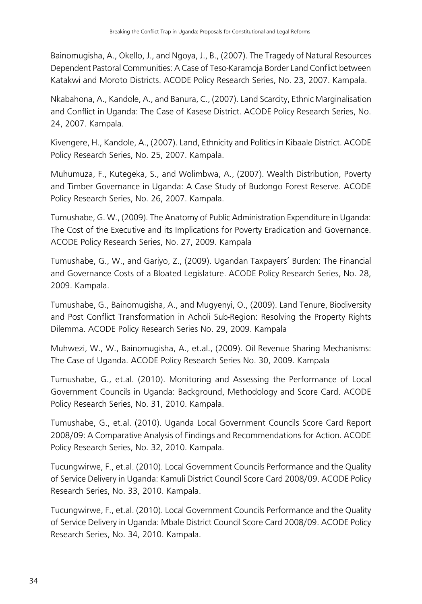Bainomugisha, A., Okello, J., and Ngoya, J., B., (2007). The Tragedy of Natural Resources Dependent Pastoral Communities: A Case of Teso-Karamoja Border Land Conflict between Katakwi and Moroto Districts. ACODE Policy Research Series, No. 23, 2007. Kampala.

Nkabahona, A., Kandole, A., and Banura, C., (2007). Land Scarcity, Ethnic Marginalisation and Conflict in Uganda: The Case of Kasese District. ACODE Policy Research Series, No. 24, 2007. Kampala.

Kivengere, H., Kandole, A., (2007). Land, Ethnicity and Politics in Kibaale District. ACODE Policy Research Series, No. 25, 2007. Kampala.

Muhumuza, F., Kutegeka, S., and Wolimbwa, A., (2007). Wealth Distribution, Poverty and Timber Governance in Uganda: A Case Study of Budongo Forest Reserve. ACODE Policy Research Series, No. 26, 2007. Kampala.

Tumushabe, G. W., (2009). The Anatomy of Public Administration Expenditure in Uganda: The Cost of the Executive and its Implications for Poverty Eradication and Governance. ACODE Policy Research Series, No. 27, 2009. Kampala

Tumushabe, G., W., and Gariyo, Z., (2009). Ugandan Taxpayers' Burden: The Financial and Governance Costs of a Bloated Legislature. ACODE Policy Research Series, No. 28, 2009. Kampala.

Tumushabe, G., Bainomugisha, A., and Mugyenyi, O., (2009). Land Tenure, Biodiversity and Post Conflict Transformation in Acholi Sub-Region: Resolving the Property Rights Dilemma. ACODE Policy Research Series No. 29, 2009. Kampala

Muhwezi, W., W., Bainomugisha, A., et.al., (2009). Oil Revenue Sharing Mechanisms: The Case of Uganda. ACODE Policy Research Series No. 30, 2009. Kampala

Tumushabe, G., et.al. (2010). Monitoring and Assessing the Performance of Local Government Councils in Uganda: Background, Methodology and Score Card. ACODE Policy Research Series, No. 31, 2010. Kampala.

Tumushabe, G., et.al. (2010). Uganda Local Government Councils Score Card Report 2008/09: A Comparative Analysis of Findings and Recommendations for Action. ACODE Policy Research Series, No. 32, 2010. Kampala.

Tucungwirwe, F., et.al. (2010). Local Government Councils Performance and the Quality of Service Delivery in Uganda: Kamuli District Council Score Card 2008/09. ACODE Policy Research Series, No. 33, 2010. Kampala.

Tucungwirwe, F., et.al. (2010). Local Government Councils Performance and the Quality of Service Delivery in Uganda: Mbale District Council Score Card 2008/09. ACODE Policy Research Series, No. 34, 2010. Kampala.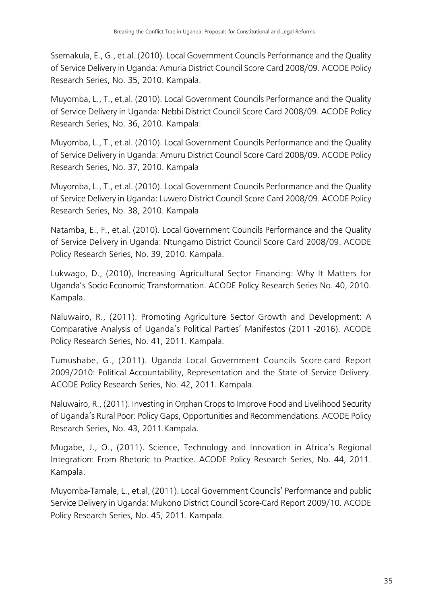Ssemakula, E., G., et.al. (2010). Local Government Councils Performance and the Quality of Service Delivery in Uganda: Amuria District Council Score Card 2008/09. ACODE Policy Research Series, No. 35, 2010. Kampala.

Muyomba, L., T., et.al. (2010). Local Government Councils Performance and the Quality of Service Delivery in Uganda: Nebbi District Council Score Card 2008/09. ACODE Policy Research Series, No. 36, 2010. Kampala.

Muyomba, L., T., et.al. (2010). Local Government Councils Performance and the Quality of Service Delivery in Uganda: Amuru District Council Score Card 2008/09. ACODE Policy Research Series, No. 37, 2010. Kampala

Muyomba, L., T., et.al. (2010). Local Government Councils Performance and the Quality of Service Delivery in Uganda: Luwero District Council Score Card 2008/09. ACODE Policy Research Series, No. 38, 2010. Kampala

Natamba, E., F., et.al. (2010). Local Government Councils Performance and the Quality of Service Delivery in Uganda: Ntungamo District Council Score Card 2008/09. ACODE Policy Research Series, No. 39, 2010. Kampala.

Lukwago, D., (2010), Increasing Agricultural Sector Financing: Why It Matters for Uganda's Socio-Economic Transformation. ACODE Policy Research Series No. 40, 2010. Kampala.

Naluwairo, R., (2011). Promoting Agriculture Sector Growth and Development: A Comparative Analysis of Uganda's Political Parties' Manifestos (2011 -2016). ACODE Policy Research Series, No. 41, 2011. Kampala.

Tumushabe, G., (2011). Uganda Local Government Councils Score-card Report 2009/2010: Political Accountability, Representation and the State of Service Delivery. ACODE Policy Research Series, No. 42, 2011. Kampala.

Naluwairo, R., (2011). Investing in Orphan Crops to Improve Food and Livelihood Security of Uganda's Rural Poor: Policy Gaps, Opportunities and Recommendations. ACODE Policy Research Series, No. 43, 2011.Kampala.

Mugabe, J., O., (2011). Science, Technology and Innovation in Africa's Regional Integration: From Rhetoric to Practice. ACODE Policy Research Series, No. 44, 2011. Kampala.

Muyomba-Tamale, L., et.al, (2011). Local Government Councils' Performance and public Service Delivery in Uganda: Mukono District Council Score-Card Report 2009/10. ACODE Policy Research Series, No. 45, 2011. Kampala.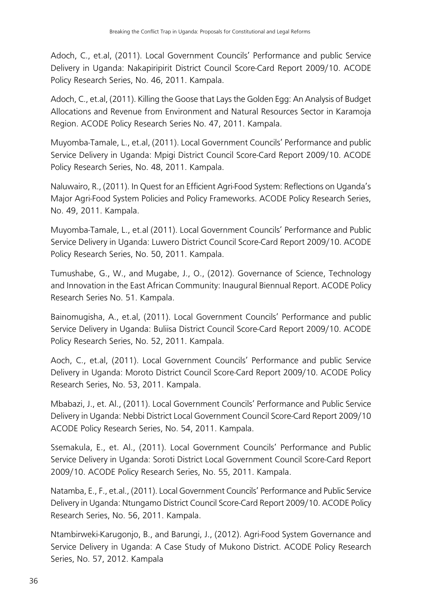Adoch, C., et.al, (2011). Local Government Councils' Performance and public Service Delivery in Uganda: Nakapiripirit District Council Score-Card Report 2009/10. ACODE Policy Research Series, No. 46, 2011. Kampala.

Adoch, C., et.al, (2011). Killing the Goose that Lays the Golden Egg: An Analysis of Budget Allocations and Revenue from Environment and Natural Resources Sector in Karamoja Region. ACODE Policy Research Series No. 47, 2011. Kampala.

Muyomba-Tamale, L., et.al, (2011). Local Government Councils' Performance and public Service Delivery in Uganda: Mpigi District Council Score-Card Report 2009/10. ACODE Policy Research Series, No. 48, 2011. Kampala.

Naluwairo, R., (2011). In Quest for an Efficient Agri-Food System: Reflections on Uganda's Major Agri-Food System Policies and Policy Frameworks. ACODE Policy Research Series, No. 49, 2011. Kampala.

Muyomba-Tamale, L., et.al (2011). Local Government Councils' Performance and Public Service Delivery in Uganda: Luwero District Council Score-Card Report 2009/10. ACODE Policy Research Series, No. 50, 2011. Kampala.

Tumushabe, G., W., and Mugabe, J., O., (2012). Governance of Science, Technology and Innovation in the East African Community: Inaugural Biennual Report. ACODE Policy Research Series No. 51. Kampala.

Bainomugisha, A., et.al, (2011). Local Government Councils' Performance and public Service Delivery in Uganda: Buliisa District Council Score-Card Report 2009/10. ACODE Policy Research Series, No. 52, 2011. Kampala.

Aoch, C., et.al, (2011). Local Government Councils' Performance and public Service Delivery in Uganda: Moroto District Council Score-Card Report 2009/10. ACODE Policy Research Series, No. 53, 2011. Kampala.

Mbabazi, J., et. Al., (2011). Local Government Councils' Performance and Public Service Delivery in Uganda: Nebbi District Local Government Council Score-Card Report 2009/10 ACODE Policy Research Series, No. 54, 2011. Kampala.

Ssemakula, E., et. Al., (2011). Local Government Councils' Performance and Public Service Delivery in Uganda: Soroti District Local Government Council Score-Card Report 2009/10. ACODE Policy Research Series, No. 55, 2011. Kampala.

Natamba, E., F., et.al., (2011). Local Government Councils' Performance and Public Service Delivery in Uganda: Ntungamo District Council Score-Card Report 2009/10. ACODE Policy Research Series, No. 56, 2011. Kampala.

Ntambirweki-Karugonjo, B., and Barungi, J., (2012). Agri-Food System Governance and Service Delivery in Uganda: A Case Study of Mukono District. ACODE Policy Research Series, No. 57, 2012. Kampala